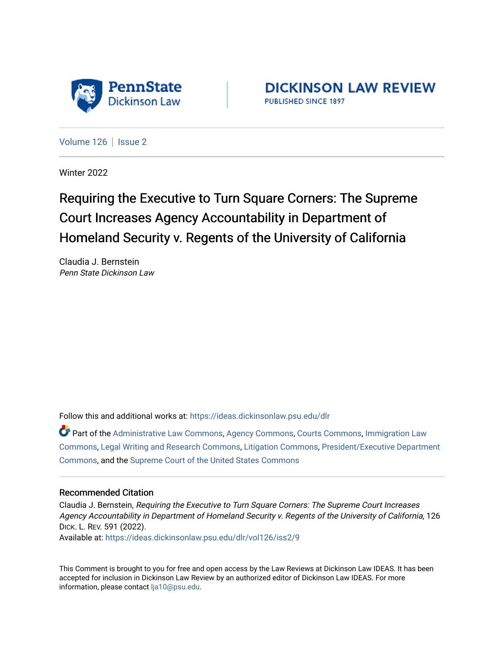

**DICKINSON LAW REVIEW** PUBLISHED SINCE 1897

[Volume 126](https://ideas.dickinsonlaw.psu.edu/dlr/vol126) | [Issue 2](https://ideas.dickinsonlaw.psu.edu/dlr/vol126/iss2)

Winter 2022

# Requiring the Executive to Turn Square Corners: The Supreme Court Increases Agency Accountability in Department of Homeland Security v. Regents of the University of California

Claudia J. Bernstein Penn State Dickinson Law

Follow this and additional works at: [https://ideas.dickinsonlaw.psu.edu/dlr](https://ideas.dickinsonlaw.psu.edu/dlr?utm_source=ideas.dickinsonlaw.psu.edu%2Fdlr%2Fvol126%2Fiss2%2F9&utm_medium=PDF&utm_campaign=PDFCoverPages) 

Part of the [Administrative Law Commons,](http://network.bepress.com/hgg/discipline/579?utm_source=ideas.dickinsonlaw.psu.edu%2Fdlr%2Fvol126%2Fiss2%2F9&utm_medium=PDF&utm_campaign=PDFCoverPages) [Agency Commons,](http://network.bepress.com/hgg/discipline/829?utm_source=ideas.dickinsonlaw.psu.edu%2Fdlr%2Fvol126%2Fiss2%2F9&utm_medium=PDF&utm_campaign=PDFCoverPages) [Courts Commons,](http://network.bepress.com/hgg/discipline/839?utm_source=ideas.dickinsonlaw.psu.edu%2Fdlr%2Fvol126%2Fiss2%2F9&utm_medium=PDF&utm_campaign=PDFCoverPages) [Immigration Law](http://network.bepress.com/hgg/discipline/604?utm_source=ideas.dickinsonlaw.psu.edu%2Fdlr%2Fvol126%2Fiss2%2F9&utm_medium=PDF&utm_campaign=PDFCoverPages)  [Commons](http://network.bepress.com/hgg/discipline/604?utm_source=ideas.dickinsonlaw.psu.edu%2Fdlr%2Fvol126%2Fiss2%2F9&utm_medium=PDF&utm_campaign=PDFCoverPages), [Legal Writing and Research Commons](http://network.bepress.com/hgg/discipline/614?utm_source=ideas.dickinsonlaw.psu.edu%2Fdlr%2Fvol126%2Fiss2%2F9&utm_medium=PDF&utm_campaign=PDFCoverPages), [Litigation Commons,](http://network.bepress.com/hgg/discipline/910?utm_source=ideas.dickinsonlaw.psu.edu%2Fdlr%2Fvol126%2Fiss2%2F9&utm_medium=PDF&utm_campaign=PDFCoverPages) [President/Executive Department](http://network.bepress.com/hgg/discipline/1118?utm_source=ideas.dickinsonlaw.psu.edu%2Fdlr%2Fvol126%2Fiss2%2F9&utm_medium=PDF&utm_campaign=PDFCoverPages)  [Commons](http://network.bepress.com/hgg/discipline/1118?utm_source=ideas.dickinsonlaw.psu.edu%2Fdlr%2Fvol126%2Fiss2%2F9&utm_medium=PDF&utm_campaign=PDFCoverPages), and the [Supreme Court of the United States Commons](http://network.bepress.com/hgg/discipline/1350?utm_source=ideas.dickinsonlaw.psu.edu%2Fdlr%2Fvol126%2Fiss2%2F9&utm_medium=PDF&utm_campaign=PDFCoverPages) 

## Recommended Citation

Claudia J. Bernstein, Requiring the Executive to Turn Square Corners: The Supreme Court Increases Agency Accountability in Department of Homeland Security v. Regents of the University of California, 126 DICK. L. REV. 591 (2022).

Available at: [https://ideas.dickinsonlaw.psu.edu/dlr/vol126/iss2/9](https://ideas.dickinsonlaw.psu.edu/dlr/vol126/iss2/9?utm_source=ideas.dickinsonlaw.psu.edu%2Fdlr%2Fvol126%2Fiss2%2F9&utm_medium=PDF&utm_campaign=PDFCoverPages)

This Comment is brought to you for free and open access by the Law Reviews at Dickinson Law IDEAS. It has been accepted for inclusion in Dickinson Law Review by an authorized editor of Dickinson Law IDEAS. For more information, please contact [lja10@psu.edu.](mailto:lja10@psu.edu)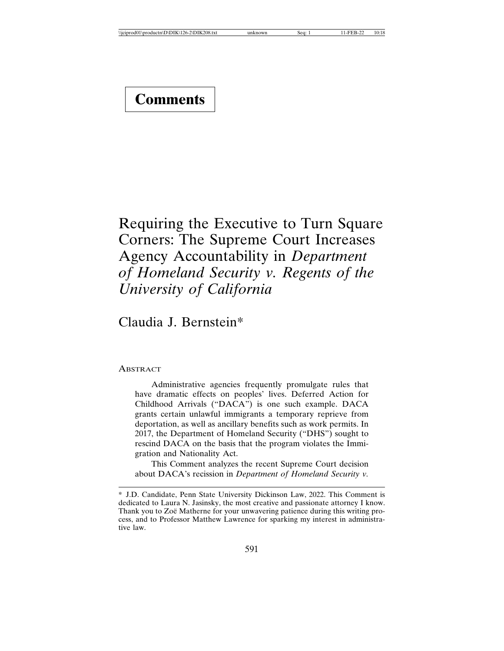# Requiring the Executive to Turn Square Corners: The Supreme Court Increases Agency Accountability in *Department of Homeland Security v. Regents of the University of California*

Claudia J. Bernstein\*

ABSTRACT

Administrative agencies frequently promulgate rules that have dramatic effects on peoples' lives. Deferred Action for Childhood Arrivals ("DACA") is one such example. DACA grants certain unlawful immigrants a temporary reprieve from deportation, as well as ancillary benefits such as work permits. In 2017, the Department of Homeland Security ("DHS") sought to rescind DACA on the basis that the program violates the Immigration and Nationality Act.

This Comment analyzes the recent Supreme Court decision about DACA's recission in *Department of Homeland Security v.*

<sup>\*</sup> J.D. Candidate, Penn State University Dickinson Law, 2022. This Comment is dedicated to Laura N. Jasinsky, the most creative and passionate attorney I know. Thank you to Zoë Matherne for your unwavering patience during this writing process, and to Professor Matthew Lawrence for sparking my interest in administrative law.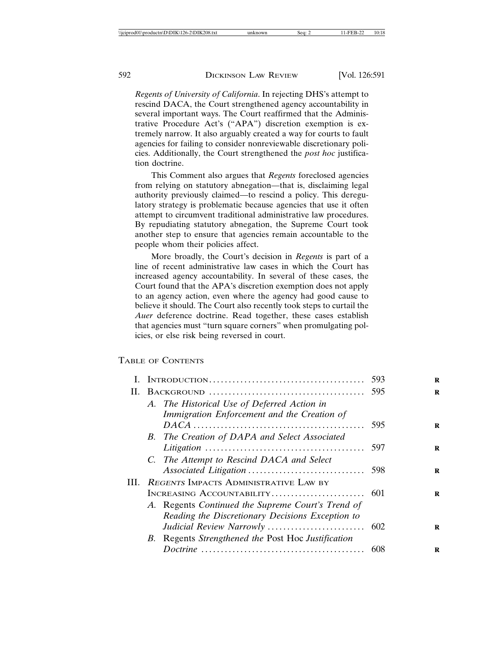*Regents of University of California*. In rejecting DHS's attempt to rescind DACA, the Court strengthened agency accountability in several important ways. The Court reaffirmed that the Administrative Procedure Act's ("APA") discretion exemption is extremely narrow. It also arguably created a way for courts to fault agencies for failing to consider nonreviewable discretionary policies. Additionally, the Court strengthened the *post hoc* justification doctrine.

This Comment also argues that *Regents* foreclosed agencies from relying on statutory abnegation—that is, disclaiming legal authority previously claimed—to rescind a policy. This deregulatory strategy is problematic because agencies that use it often attempt to circumvent traditional administrative law procedures. By repudiating statutory abnegation, the Supreme Court took another step to ensure that agencies remain accountable to the people whom their policies affect.

More broadly, the Court's decision in *Regents* is part of a line of recent administrative law cases in which the Court has increased agency accountability. In several of these cases, the Court found that the APA's discretion exemption does not apply to an agency action, even where the agency had good cause to believe it should. The Court also recently took steps to curtail the *Auer* deference doctrine. Read together, these cases establish that agencies must "turn square corners" when promulgating policies, or else risk being reversed in court.

#### TABLE OF CONTENTS

| H.  |                                                    |     |
|-----|----------------------------------------------------|-----|
|     | A. The Historical Use of Deferred Action in        |     |
|     | Immigration Enforcement and the Creation of        |     |
|     |                                                    | 595 |
|     | B. The Creation of DAPA and Select Associated      |     |
|     |                                                    |     |
|     | C. The Attempt to Rescind DACA and Select          |     |
|     |                                                    |     |
| HL. | REGENTS IMPACTS ADMINISTRATIVE LAW BY              |     |
|     |                                                    |     |
|     | A. Regents Continued the Supreme Court's Trend of  |     |
|     | Reading the Discretionary Decisions Exception to   |     |
|     |                                                    |     |
|     | B. Regents Strengthened the Post Hoc Justification |     |
|     |                                                    | 608 |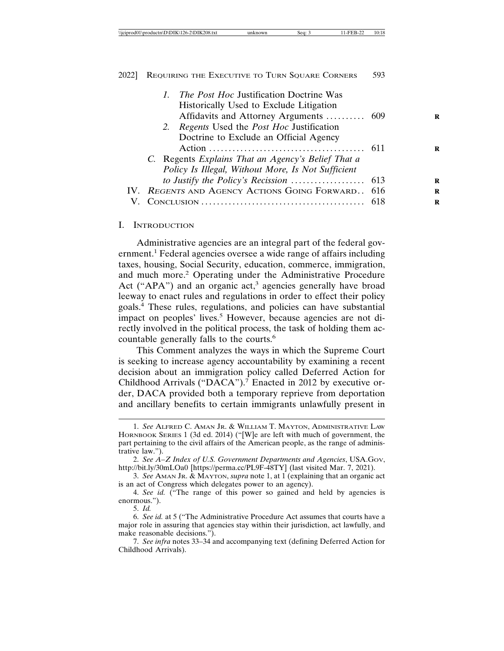|    |                                                  |                                                    | 1. The Post Hoc Justification Doctrine Was         |  |
|----|--------------------------------------------------|----------------------------------------------------|----------------------------------------------------|--|
|    |                                                  |                                                    | Historically Used to Exclude Litigation            |  |
|    |                                                  |                                                    | Affidavits and Attorney Arguments  609             |  |
|    |                                                  |                                                    | 2. Regents Used the <i>Post Hoc</i> Justification  |  |
|    |                                                  |                                                    | Doctrine to Exclude an Official Agency             |  |
|    |                                                  |                                                    |                                                    |  |
|    |                                                  |                                                    | C. Regents Explains That an Agency's Belief That a |  |
|    |                                                  | Policy Is Illegal, Without More, Is Not Sufficient |                                                    |  |
|    |                                                  |                                                    |                                                    |  |
|    | IV. REGENTS AND AGENCY ACTIONS GOING FORWARD 616 |                                                    |                                                    |  |
| V. |                                                  |                                                    |                                                    |  |
|    |                                                  |                                                    |                                                    |  |

#### I. INTRODUCTION

Administrative agencies are an integral part of the federal government.<sup>1</sup> Federal agencies oversee a wide range of affairs including taxes, housing, Social Security, education, commerce, immigration, and much more.<sup>2</sup> Operating under the Administrative Procedure Act ("APA") and an organic  $act<sup>3</sup>$  agencies generally have broad leeway to enact rules and regulations in order to effect their policy goals.4 These rules, regulations, and policies can have substantial impact on peoples' lives.<sup>5</sup> However, because agencies are not directly involved in the political process, the task of holding them accountable generally falls to the courts.<sup>6</sup>

This Comment analyzes the ways in which the Supreme Court is seeking to increase agency accountability by examining a recent decision about an immigration policy called Deferred Action for Childhood Arrivals ("DACA").<sup>7</sup> Enacted in 2012 by executive order, DACA provided both a temporary reprieve from deportation and ancillary benefits to certain immigrants unlawfully present in

5. *Id.*

<sup>1.</sup> *See* ALFRED C. AMAN JR. & WILLIAM T. MAYTON, ADMINISTRATIVE LAW HORNBOOK SERIES 1 (3d ed. 2014) ("[W]e are left with much of government, the part pertaining to the civil affairs of the American people, as the range of administrative law.").

<sup>2.</sup> *See A–Z Index of U.S. Government Departments and Agencies*, USA.GOV, http://bit.ly/30mLOa0 [https://perma.cc/PL9F-48TY] (last visited Mar. 7, 2021).

<sup>3.</sup> *See* AMAN JR. & MAYTON, *supra* note 1, at 1 (explaining that an organic act is an act of Congress which delegates power to an agency).

<sup>4.</sup> *See id.* ("The range of this power so gained and held by agencies is enormous.").

<sup>6.</sup> *See id.* at 5 ("The Administrative Procedure Act assumes that courts have a major role in assuring that agencies stay within their jurisdiction, act lawfully, and make reasonable decisions.").

<sup>7.</sup> *See infra* notes 33–34 and accompanying text (defining Deferred Action for Childhood Arrivals).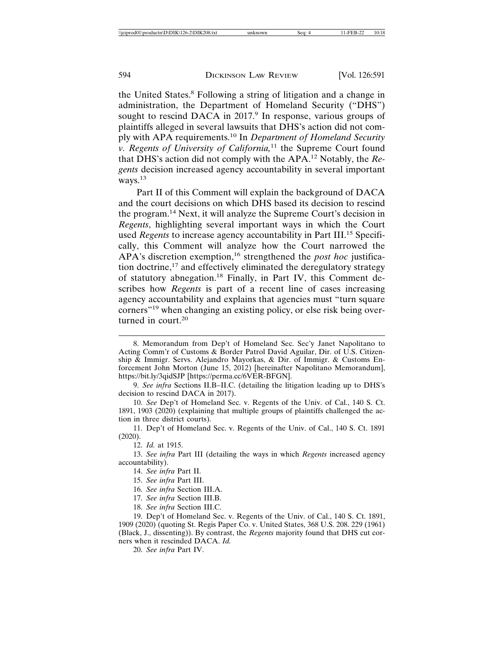the United States.<sup>8</sup> Following a string of litigation and a change in administration, the Department of Homeland Security ("DHS") sought to rescind DACA in 2017.<sup>9</sup> In response, various groups of plaintiffs alleged in several lawsuits that DHS's action did not comply with APA requirements.10 In *Department of Homeland Security v. Regents of University of California,*11 the Supreme Court found that DHS's action did not comply with the APA.12 Notably, the *Regents* decision increased agency accountability in several important ways.<sup>13</sup>

Part II of this Comment will explain the background of DACA and the court decisions on which DHS based its decision to rescind the program.14 Next, it will analyze the Supreme Court's decision in *Regents*, highlighting several important ways in which the Court used *Regents* to increase agency accountability in Part III.15 Specifically, this Comment will analyze how the Court narrowed the APA's discretion exemption,<sup>16</sup> strengthened the *post hoc* justification doctrine,<sup>17</sup> and effectively eliminated the deregulatory strategy of statutory abnegation.18 Finally, in Part IV, this Comment describes how *Regents* is part of a recent line of cases increasing agency accountability and explains that agencies must "turn square corners"19 when changing an existing policy, or else risk being overturned in court.<sup>20</sup>

9. *See infra* Sections II.B–II.C. (detailing the litigation leading up to DHS's decision to rescind DACA in 2017).

10. *See* Dep't of Homeland Sec. v. Regents of the Univ. of Cal., 140 S. Ct. 1891, 1903 (2020) (explaining that multiple groups of plaintiffs challenged the action in three district courts).

11. Dep't of Homeland Sec. v. Regents of the Univ. of Cal., 140 S. Ct. 1891 (2020).

12. *Id.* at 1915.

13. *See infra* Part III (detailing the ways in which *Regents* increased agency accountability).

14. *See infra* Part II.

15. *See infra* Part III.

16. *See infra* Section III.A.

17. *See infra* Section III.B.

18. *See infra* Section III.C.

19. Dep't of Homeland Sec. v. Regents of the Univ. of Cal., 140 S. Ct. 1891, 1909 (2020) (quoting St. Regis Paper Co. v. United States, 368 U.S. 208. 229 (1961) (Black, J., dissenting)). By contrast, the *Regents* majority found that DHS cut corners when it rescinded DACA. *Id.*

20. *See infra* Part IV.

<sup>8.</sup> Memorandum from Dep't of Homeland Sec. Sec'y Janet Napolitano to Acting Comm'r of Customs & Border Patrol David Aguilar, Dir. of U.S. Citizenship & Immigr. Servs. Alejandro Mayorkas, & Dir. of Immigr. & Customs Enforcement John Morton (June 15, 2012) [hereinafter Napolitano Memorandum], https://bit.ly/3qidSJP [https://perma.cc/6VER-BFGN].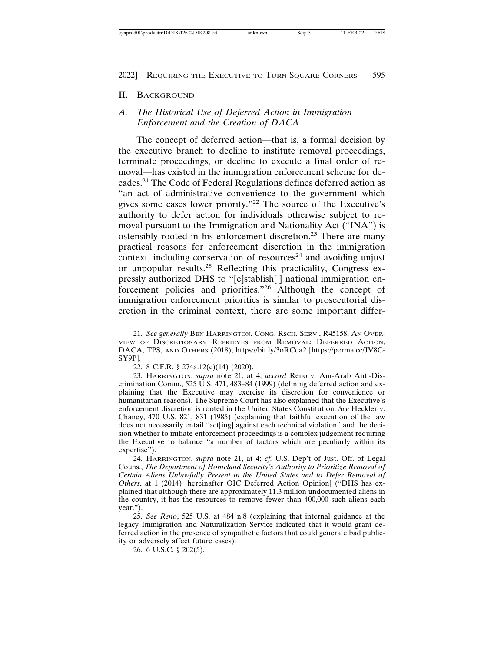#### II. BACKGROUND

# *A. The Historical Use of Deferred Action in Immigration Enforcement and the Creation of DACA*

The concept of deferred action—that is, a formal decision by the executive branch to decline to institute removal proceedings, terminate proceedings, or decline to execute a final order of removal—has existed in the immigration enforcement scheme for decades.21 The Code of Federal Regulations defines deferred action as "an act of administrative convenience to the government which gives some cases lower priority."22 The source of the Executive's authority to defer action for individuals otherwise subject to removal pursuant to the Immigration and Nationality Act ("INA") is ostensibly rooted in his enforcement discretion.23 There are many practical reasons for enforcement discretion in the immigration context, including conservation of resources<sup>24</sup> and avoiding unjust or unpopular results.25 Reflecting this practicality, Congress expressly authorized DHS to "[e]stablish[] national immigration enforcement policies and priorities."26 Although the concept of immigration enforcement priorities is similar to prosecutorial discretion in the criminal context, there are some important differ-

23. HARRINGTON, *supra* note 21, at 4; *accord* Reno v. Am-Arab Anti-Discrimination Comm., 525 U.S. 471, 483–84 (1999) (defining deferred action and explaining that the Executive may exercise its discretion for convenience or humanitarian reasons). The Supreme Court has also explained that the Executive's enforcement discretion is rooted in the United States Constitution. *See* Heckler v. Chaney, 470 U.S. 821, 831 (1985) (explaining that faithful execution of the law does not necessarily entail "act[ing] against each technical violation" and the decision whether to initiate enforcement proceedings is a complex judgement requiring the Executive to balance "a number of factors which are peculiarly within its expertise").

24. HARRINGTON, *supra* note 21, at 4; *cf.* U.S. Dep't of Just. Off. of Legal Couns., *The Department of Homeland Security's Authority to Prioritize Removal of Certain Aliens Unlawfully Present in the United States and to Defer Removal of Others*, at 1 (2014) [hereinafter OIC Deferred Action Opinion] ("DHS has explained that although there are approximately 11.3 million undocumented aliens in the country, it has the resources to remove fewer than 400,000 such aliens each year.").

25. *See Reno*, 525 U.S. at 484 n.8 (explaining that internal guidance at the legacy Immigration and Naturalization Service indicated that it would grant deferred action in the presence of sympathetic factors that could generate bad publicity or adversely affect future cases).

26. 6 U.S.C. § 202(5).

<sup>21.</sup> *See generally* BEN HARRINGTON, CONG. RSCH. SERV., R45158, AN OVER-VIEW OF DISCRETIONARY REPRIEVES FROM REMOVAL: DEFERRED ACTION, DACA, TPS, AND OTHERS (2018), https://bit.ly/3oRCqa2 [https://perma.cc/JV8C-SY9P].

<sup>22. 8</sup> C.F.R. § 274a.12(c)(14) (2020).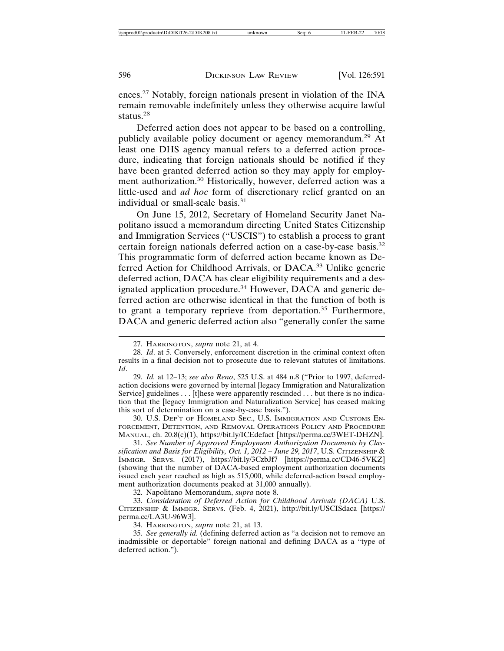ences.27 Notably, foreign nationals present in violation of the INA remain removable indefinitely unless they otherwise acquire lawful status.<sup>28</sup>

Deferred action does not appear to be based on a controlling, publicly available policy document or agency memorandum.<sup>29</sup> At least one DHS agency manual refers to a deferred action procedure, indicating that foreign nationals should be notified if they have been granted deferred action so they may apply for employment authorization.30 Historically, however, deferred action was a little-used and *ad hoc* form of discretionary relief granted on an individual or small-scale basis.<sup>31</sup>

On June 15, 2012, Secretary of Homeland Security Janet Napolitano issued a memorandum directing United States Citizenship and Immigration Services ("USCIS") to establish a process to grant certain foreign nationals deferred action on a case-by-case basis.<sup>32</sup> This programmatic form of deferred action became known as Deferred Action for Childhood Arrivals, or DACA.33 Unlike generic deferred action, DACA has clear eligibility requirements and a designated application procedure.<sup>34</sup> However, DACA and generic deferred action are otherwise identical in that the function of both is to grant a temporary reprieve from deportation.<sup>35</sup> Furthermore, DACA and generic deferred action also "generally confer the same

30. U.S. DEP'T OF HOMELAND SEC., U.S. IMMIGRATION AND CUSTOMS EN-FORCEMENT, DETENTION, AND REMOVAL OPERATIONS POLICY AND PROCEDURE MANUAL, ch. 20.8(c)(1), https://bit.ly/ICEdefact [https://perma.cc/3WET-DHZN].

31. *See Number of Approved Employment Authorization Documents by Classification and Basis for Eligibility, Oct. 1, 2012 – June 29, 2017, U.S. Сттизение &* IMMIGR. SERVS. (2017), https://bit.ly/3CzbJf7 [https://perma.cc/CD46-5VKZ] (showing that the number of DACA-based employment authorization documents issued each year reached as high as 515,000, while deferred-action based employment authorization documents peaked at 31,000 annually).

32. Napolitano Memorandum, *supra* note 8.

33. *Consideration of Deferred Action for Childhood Arrivals (DACA)* U.S. CITIZENSHIP & IMMIGR. SERVS. (Feb. 4, 2021), http://bit.ly/USCISdaca [https:// perma.cc/LA3U-96W3].

34. HARRINGTON, *supra* note 21, at 13.

35. *See generally id.* (defining deferred action as "a decision not to remove an inadmissible or deportable" foreign national and defining DACA as a "type of deferred action.").

<sup>27.</sup> HARRINGTON, *supra* note 21, at 4.

<sup>28.</sup> *Id*. at 5. Conversely, enforcement discretion in the criminal context often results in a final decision not to prosecute due to relevant statutes of limitations. *Id*.

<sup>29.</sup> *Id.* at 12–13; *see also Reno*, 525 U.S. at 484 n.8 ("Prior to 1997, deferredaction decisions were governed by internal [legacy Immigration and Naturalization Service] guidelines . . . [t]hese were apparently rescinded . . . but there is no indication that the [legacy Immigration and Naturalization Service] has ceased making this sort of determination on a case-by-case basis.").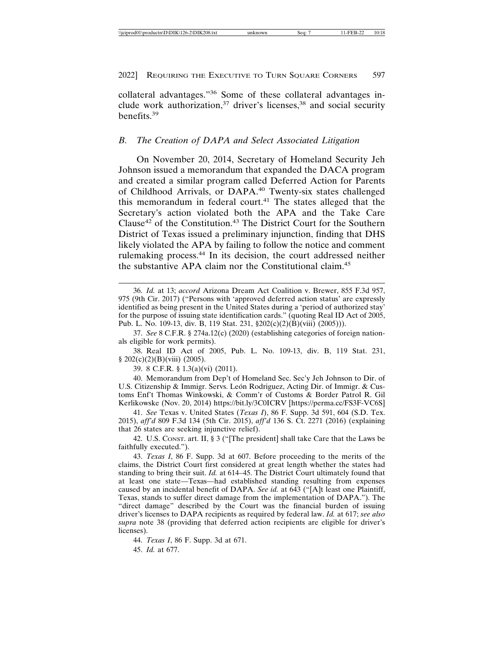collateral advantages."36 Some of these collateral advantages include work authorization,<sup>37</sup> driver's licenses,<sup>38</sup> and social security benefits.39

#### *B. The Creation of DAPA and Select Associated Litigation*

On November 20, 2014, Secretary of Homeland Security Jeh Johnson issued a memorandum that expanded the DACA program and created a similar program called Deferred Action for Parents of Childhood Arrivals, or DAPA.40 Twenty-six states challenged this memorandum in federal court.<sup>41</sup> The states alleged that the Secretary's action violated both the APA and the Take Care Clause<sup>42</sup> of the Constitution.<sup>43</sup> The District Court for the Southern District of Texas issued a preliminary injunction, finding that DHS likely violated the APA by failing to follow the notice and comment rulemaking process.44 In its decision, the court addressed neither the substantive APA claim nor the Constitutional claim.<sup>45</sup>

37. *See* 8 C.F.R. § 274a.12(c) (2020) (establishing categories of foreign nationals eligible for work permits).

38. Real ID Act of 2005, Pub. L. No. 109-13, div. B, 119 Stat. 231,  $§ 202(c)(2)(B)(viii) (2005).$ 

39. 8 C.F.R. § 1.3(a)(vi) (2011).

40. Memorandum from Dep't of Homeland Sec. Sec'y Jeh Johnson to Dir. of U.S. Citizenship & Immigr. Servs. León Rodriguez, Acting Dir. of Immigr. & Customs Enf't Thomas Winkowski, & Comm'r of Customs & Border Patrol R. Gil Kerlikowske (Nov. 20, 2014) https://bit.ly/3C0ICRV [https://perma.cc/FS3F-VC6S]

41. *See* Texas v. United States (*Texas I*), 86 F. Supp. 3d 591, 604 (S.D. Tex. 2015), *aff'd* 809 F.3d 134 (5th Cir. 2015), *aff'd* 136 S. Ct. 2271 (2016) (explaining that 26 states are seeking injunctive relief).

42. U.S. CONST. art. II, § 3 ("[The president] shall take Care that the Laws be faithfully executed.").

43. *Texas I*, 86 F. Supp. 3d at 607. Before proceeding to the merits of the claims, the District Court first considered at great length whether the states had standing to bring their suit. *Id.* at 614–45. The District Court ultimately found that at least one state—Texas—had established standing resulting from expenses caused by an incidental benefit of DAPA. *See id.* at 643 ("[A]t least one Plaintiff, Texas, stands to suffer direct damage from the implementation of DAPA."). The "direct damage" described by the Court was the financial burden of issuing driver's licenses to DAPA recipients as required by federal law. *Id.* at 617; *see also supra* note 38 (providing that deferred action recipients are eligible for driver's licenses).

44. *Texas I*, 86 F. Supp. 3d at 671.

45. *Id.* at 677.

<sup>36.</sup> *Id.* at 13; *accord* Arizona Dream Act Coalition v. Brewer, 855 F.3d 957, 975 (9th Cir. 2017) ("Persons with 'approved deferred action status' are expressly identified as being present in the United States during a 'period of authorized stay' for the purpose of issuing state identification cards." (quoting Real ID Act of 2005, Pub. L. No. 109-13, div. B, 119 Stat. 231, §202(c)(2)(B)(viii) (2005))).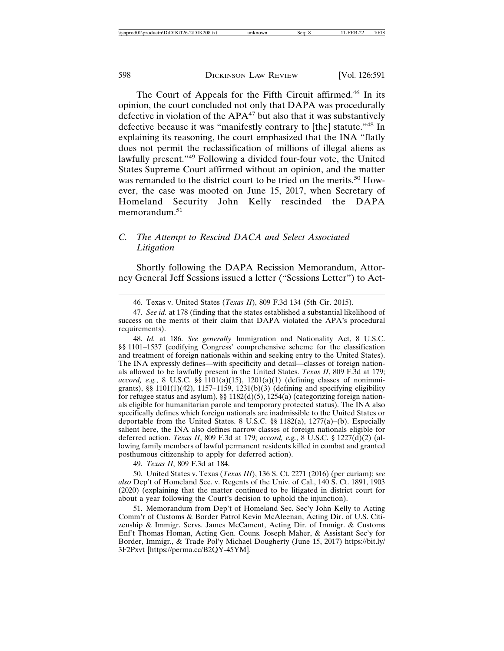The Court of Appeals for the Fifth Circuit affirmed.46 In its opinion, the court concluded not only that DAPA was procedurally defective in violation of the APA<sup>47</sup> but also that it was substantively defective because it was "manifestly contrary to [the] statute."48 In explaining its reasoning, the court emphasized that the INA "flatly does not permit the reclassification of millions of illegal aliens as lawfully present."49 Following a divided four-four vote, the United States Supreme Court affirmed without an opinion, and the matter was remanded to the district court to be tried on the merits.<sup>50</sup> However, the case was mooted on June 15, 2017, when Secretary of Homeland Security John Kelly rescinded the DAPA memorandum.51

# *C. The Attempt to Rescind DACA and Select Associated Litigation*

Shortly following the DAPA Recission Memorandum, Attorney General Jeff Sessions issued a letter ("Sessions Letter") to Act-

48. *Id.* at 186. *See generally* Immigration and Nationality Act, 8 U.S.C. §§ 1101–1537 (codifying Congress' comprehensive scheme for the classification and treatment of foreign nationals within and seeking entry to the United States). The INA expressly defines—with specificity and detail—classes of foreign nationals allowed to be lawfully present in the United States. *Texas II*, 809 F.3d at 179; *accord, e.g.*, 8 U.S.C. §§ 1101(a)(15), 1201(a)(1) (defining classes of nonimmigrants), §§ 1101(1)(42), 1157–1159, 1231(b)(3) (defining and specifying eligibility for refugee status and asylum), §§  $1182(d)(5)$ ,  $1254(a)$  (categorizing foreign nationals eligible for humanitarian parole and temporary protected status). The INA also specifically defines which foreign nationals are inadmissible to the United States or deportable from the United States. 8 U.S.C. §§ 1182(a), 1277(a)–(b). Especially salient here, the INA also defines narrow classes of foreign nationals eligible for deferred action. *Texas II*, 809 F.3d at 179; *accord, e.g.*, 8 U.S.C. § 1227(d)(2) (allowing family members of lawful permanent residents killed in combat and granted posthumous citizenship to apply for deferred action).

49. *Texas II*, 809 F.3d at 184.

50. United States v. Texas (*Texas III*), 136 S. Ct. 2271 (2016) (per curiam); s*ee also* Dep't of Homeland Sec. v. Regents of the Univ. of Cal., 140 S. Ct. 1891, 1903 (2020) (explaining that the matter continued to be litigated in district court for about a year following the Court's decision to uphold the injunction).

51. Memorandum from Dep't of Homeland Sec. Sec'y John Kelly to Acting Comm'r of Customs & Border Patrol Kevin McAleenan, Acting Dir. of U.S. Citizenship & Immigr. Servs. James McCament, Acting Dir. of Immigr. & Customs Enf't Thomas Homan, Acting Gen. Couns. Joseph Maher, & Assistant Sec'y for Border, Immigr., & Trade Pol'y Michael Dougherty (June 15, 2017) https://bit.ly/ 3F2Pxvt [https://perma.cc/B2QY-45YM].

<sup>46.</sup> Texas v. United States (*Texas II*), 809 F.3d 134 (5th Cir. 2015).

<sup>47.</sup> *See id.* at 178 (finding that the states established a substantial likelihood of success on the merits of their claim that DAPA violated the APA's procedural requirements).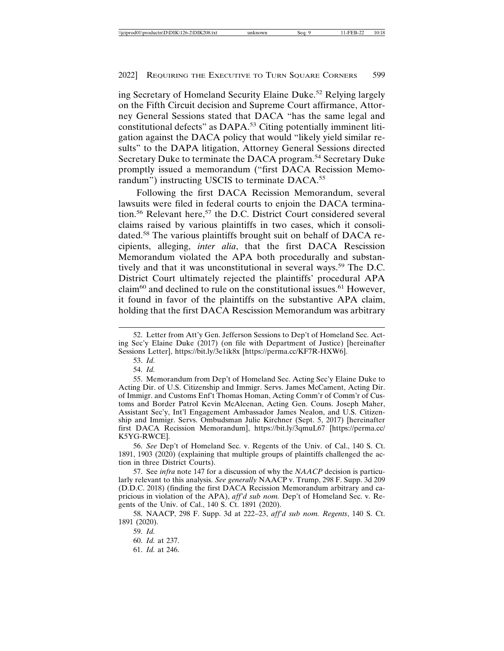ing Secretary of Homeland Security Elaine Duke.52 Relying largely on the Fifth Circuit decision and Supreme Court affirmance, Attorney General Sessions stated that DACA "has the same legal and constitutional defects" as DAPA.<sup>53</sup> Citing potentially imminent litigation against the DACA policy that would "likely yield similar results" to the DAPA litigation, Attorney General Sessions directed Secretary Duke to terminate the DACA program.<sup>54</sup> Secretary Duke promptly issued a memorandum ("first DACA Recission Memorandum") instructing USCIS to terminate DACA.<sup>55</sup>

Following the first DACA Recission Memorandum, several lawsuits were filed in federal courts to enjoin the DACA termination.<sup>56</sup> Relevant here,<sup>57</sup> the D.C. District Court considered several claims raised by various plaintiffs in two cases, which it consolidated.58 The various plaintiffs brought suit on behalf of DACA recipients, alleging, *inter alia*, that the first DACA Rescission Memorandum violated the APA both procedurally and substantively and that it was unconstitutional in several ways.<sup>59</sup> The D.C. District Court ultimately rejected the plaintiffs' procedural APA claim<sup>60</sup> and declined to rule on the constitutional issues.<sup>61</sup> However, it found in favor of the plaintiffs on the substantive APA claim, holding that the first DACA Rescission Memorandum was arbitrary

53. *Id.*

54. *Id.*

56. *See* Dep't of Homeland Sec. v. Regents of the Univ. of Cal., 140 S. Ct. 1891, 1903 (2020) (explaining that multiple groups of plaintiffs challenged the action in three District Courts).

57. See *infra* note 147 for a discussion of why the *NAACP* decision is particularly relevant to this analysis. *See generally* NAACP v. Trump, 298 F. Supp. 3d 209 (D.D.C. 2018) (finding the first DACA Recission Memorandum arbitrary and capricious in violation of the APA), *aff'd sub nom.* Dep't of Homeland Sec. v. Regents of the Univ. of Cal., 140 S. Ct. 1891 (2020).

58. NAACP, 298 F. Supp. 3d at 222–23, *aff'd sub nom. Regents*, 140 S. Ct. 1891 (2020).

59. *Id.*

60. *Id.* at 237.

61. *Id.* at 246.

<sup>52.</sup> Letter from Att'y Gen. Jefferson Sessions to Dep't of Homeland Sec. Acting Sec'y Elaine Duke (2017) (on file with Department of Justice) [hereinafter Sessions Letter], https://bit.ly/3e1ik8x [https://perma.cc/KF7R-HXW6].

<sup>55.</sup> Memorandum from Dep't of Homeland Sec. Acting Sec'y Elaine Duke to Acting Dir. of U.S. Citizenship and Immigr. Servs. James McCament, Acting Dir. of Immigr. and Customs Enf't Thomas Homan, Acting Comm'r of Comm'r of Customs and Border Patrol Kevin McAleenan, Acting Gen. Couns. Joseph Maher, Assistant Sec'y, Int'l Engagement Ambassador James Nealon, and U.S. Citizenship and Immigr. Servs. Ombudsman Julie Kirchner (Sept. 5, 2017) [hereinafter first DACA Recission Memorandum], https://bit.ly/3qmuL67 [https://perma.cc/ K5YG-RWCE].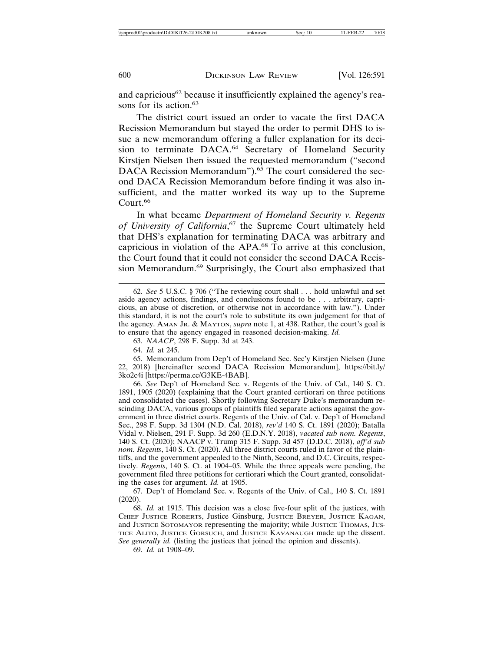and capricious<sup>62</sup> because it insufficiently explained the agency's reasons for its action.<sup>63</sup>

The district court issued an order to vacate the first DACA Recission Memorandum but stayed the order to permit DHS to issue a new memorandum offering a fuller explanation for its decision to terminate DACA.<sup>64</sup> Secretary of Homeland Security Kirstjen Nielsen then issued the requested memorandum ("second DACA Recission Memorandum").<sup>65</sup> The court considered the second DACA Recission Memorandum before finding it was also insufficient, and the matter worked its way up to the Supreme Court.<sup>66</sup>

In what became *Department of Homeland Security v. Regents of University of California*, 67 the Supreme Court ultimately held that DHS's explanation for terminating DACA was arbitrary and capricious in violation of the APA.68 To arrive at this conclusion, the Court found that it could not consider the second DACA Recission Memorandum.69 Surprisingly, the Court also emphasized that

63. *NAACP*, 298 F. Supp. 3d at 243.

64. *Id.* at 245.

65. Memorandum from Dep't of Homeland Sec. Sec'y Kirstjen Nielsen (June 22, 2018) [hereinafter second DACA Recission Memorandum], https://bit.ly/ 3ko2c4i [https://perma.cc/G3KE-4BAB].

66. *See* Dep't of Homeland Sec. v. Regents of the Univ. of Cal., 140 S. Ct. 1891, 1905 (2020) (explaining that the Court granted certiorari on three petitions and consolidated the cases). Shortly following Secretary Duke's memorandum rescinding DACA, various groups of plaintiffs filed separate actions against the government in three district courts. Regents of the Univ. of Cal. v. Dep't of Homeland Sec., 298 F. Supp. 3d 1304 (N.D. Cal. 2018), *rev'd* 140 S. Ct. 1891 (2020); Batalla Vidal v. Nielsen, 291 F. Supp. 3d 260 (E.D.N.Y. 2018), *vacated sub nom. Regents*, 140 S. Ct. (2020); NAACP v. Trump 315 F. Supp. 3d 457 (D.D.C. 2018), *aff'd sub nom. Regents*, 140 S. Ct. (2020). All three district courts ruled in favor of the plaintiffs, and the government appealed to the Ninth, Second, and D.C. Circuits, respectively. *Regents*, 140 S. Ct. at 1904–05. While the three appeals were pending, the government filed three petitions for certiorari which the Court granted, consolidating the cases for argument. *Id.* at 1905.

67. Dep't of Homeland Sec. v. Regents of the Univ. of Cal., 140 S. Ct. 1891 (2020).

68. *Id.* at 1915. This decision was a close five-four split of the justices, with CHIEF JUSTICE ROBERTS, Justice Ginsburg, JUSTICE BREYER, JUSTICE KAGAN, and JUSTICE SOTOMAYOR representing the majority; while JUSTICE THOMAS, JUS-TICE ALITO, JUSTICE GORSUCH, and JUSTICE KAVANAUGH made up the dissent. *See generally id.* (listing the justices that joined the opinion and dissents).

69. *Id.* at 1908–09.

<sup>62.</sup> *See* 5 U.S.C. § 706 ("The reviewing court shall . . . hold unlawful and set aside agency actions, findings, and conclusions found to be . . . arbitrary, capricious, an abuse of discretion, or otherwise not in accordance with law."). Under this standard, it is not the court's role to substitute its own judgement for that of the agency. AMAN JR. & MAYTON, *supra* note 1, at 438. Rather, the court's goal is to ensure that the agency engaged in reasoned decision-making. *Id.*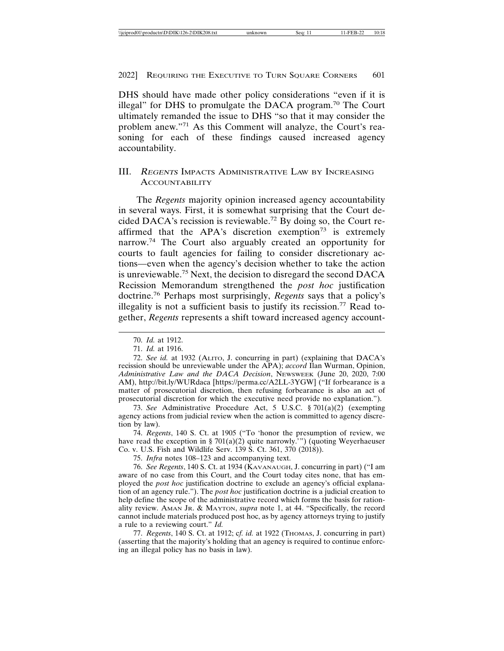DHS should have made other policy considerations "even if it is illegal" for DHS to promulgate the DACA program.70 The Court ultimately remanded the issue to DHS "so that it may consider the problem anew."71 As this Comment will analyze, the Court's reasoning for each of these findings caused increased agency accountability.

## III. <sup>R</sup>EGENTS IMPACTS ADMINISTRATIVE LAW BY INCREASING **ACCOUNTABILITY**

The *Regents* majority opinion increased agency accountability in several ways. First, it is somewhat surprising that the Court decided DACA's recission is reviewable.<sup>72</sup> By doing so, the Court reaffirmed that the APA's discretion exemption<sup>73</sup> is extremely narrow.74 The Court also arguably created an opportunity for courts to fault agencies for failing to consider discretionary actions—even when the agency's decision whether to take the action is unreviewable.75 Next, the decision to disregard the second DACA Recission Memorandum strengthened the *post hoc* justification doctrine.76 Perhaps most surprisingly, *Regents* says that a policy's illegality is not a sufficient basis to justify its recission.77 Read together, *Regents* represents a shift toward increased agency account-

73. *See* Administrative Procedure Act, 5 U.S.C. § 701(a)(2) (exempting agency actions from judicial review when the action is committed to agency discretion by law).

74. *Regents*, 140 S. Ct. at 1905 ("To 'honor the presumption of review, we have read the exception in § 701(a)(2) quite narrowly.'") (quoting Weyerhaeuser Co. v. U.S. Fish and Wildlife Serv. 139 S. Ct. 361, 370 (2018)).

75. *Infra* notes 108–123 and accompanying text.

76. *See Regents*, 140 S. Ct. at 1934 (KAVANAUGH, J. concurring in part) ("I am aware of no case from this Court, and the Court today cites none, that has employed the *post hoc* justification doctrine to exclude an agency's official explanation of an agency rule."). The *post hoc* justification doctrine is a judicial creation to help define the scope of the administrative record which forms the basis for rationality review. AMAN JR. & MAYTON, *supra* note 1, at 44. "Specifically, the record cannot include materials produced post hoc, as by agency attorneys trying to justify a rule to a reviewing court." *Id.*

77. *Regents*, 140 S. Ct. at 1912; cf. id. at 1922 (THOMAS, J. concurring in part) (asserting that the majority's holding that an agency is required to continue enforcing an illegal policy has no basis in law).

<sup>70.</sup> *Id.* at 1912.

<sup>71.</sup> *Id.* at 1916.

<sup>72.</sup> *See id.* at 1932 (ALITO, J. concurring in part) (explaining that DACA's recission should be unreviewable under the APA); *accord* Ilan Wurman, Opinion, *Administrative Law and the DACA Decision*, NEWSWEEK (June 20, 2020, 7:00 AM), http://bit.ly/WURdaca [https://perma.cc/A2LL-3YGW] ("If forbearance is a matter of prosecutorial discretion, then refusing forbearance is also an act of prosecutorial discretion for which the executive need provide no explanation.").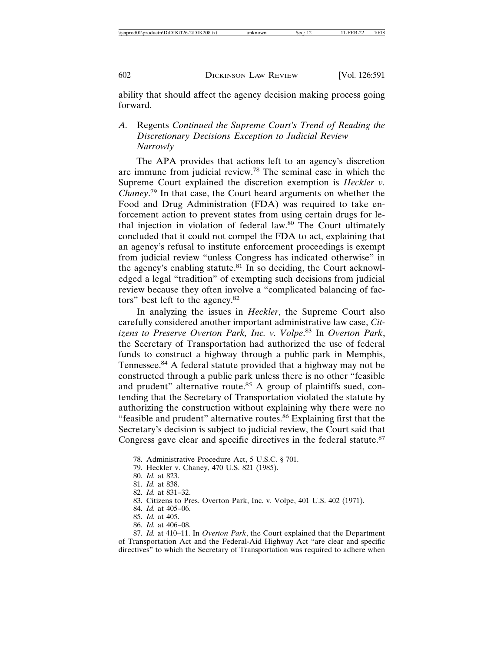ability that should affect the agency decision making process going forward.

# *A.* Regents *Continued the Supreme Court's Trend of Reading the Discretionary Decisions Exception to Judicial Review Narrowly*

The APA provides that actions left to an agency's discretion are immune from judicial review.78 The seminal case in which the Supreme Court explained the discretion exemption is *Heckler v. Chaney*. 79 In that case, the Court heard arguments on whether the Food and Drug Administration (FDA) was required to take enforcement action to prevent states from using certain drugs for lethal injection in violation of federal law.<sup>80</sup> The Court ultimately concluded that it could not compel the FDA to act, explaining that an agency's refusal to institute enforcement proceedings is exempt from judicial review "unless Congress has indicated otherwise" in the agency's enabling statute. $81$  In so deciding, the Court acknowledged a legal "tradition" of exempting such decisions from judicial review because they often involve a "complicated balancing of factors" best left to the agency.<sup>82</sup>

In analyzing the issues in *Heckler*, the Supreme Court also carefully considered another important administrative law case, *Citizens to Preserve Overton Park, Inc. v. Volpe*. 83 In *Overton Park*, the Secretary of Transportation had authorized the use of federal funds to construct a highway through a public park in Memphis, Tennessee.<sup>84</sup> A federal statute provided that a highway may not be constructed through a public park unless there is no other "feasible and prudent" alternative route.<sup>85</sup> A group of plaintiffs sued, contending that the Secretary of Transportation violated the statute by authorizing the construction without explaining why there were no "feasible and prudent" alternative routes.<sup>86</sup> Explaining first that the Secretary's decision is subject to judicial review, the Court said that Congress gave clear and specific directives in the federal statute.<sup>87</sup>

<sup>78.</sup> Administrative Procedure Act, 5 U.S.C. § 701.

<sup>79.</sup> Heckler v. Chaney, 470 U.S. 821 (1985).

<sup>80.</sup> *Id.* at 823.

<sup>81.</sup> *Id.* at 838.

<sup>82.</sup> *Id.* at 831–32.

<sup>83.</sup> Citizens to Pres. Overton Park, Inc. v. Volpe, 401 U.S. 402 (1971).

<sup>84.</sup> *Id.* at 405–06.

<sup>85.</sup> *Id.* at 405.

<sup>86.</sup> *Id.* at 406–08.

<sup>87.</sup> *Id.* at 410–11. In *Overton Park*, the Court explained that the Department of Transportation Act and the Federal-Aid Highway Act "are clear and specific directives" to which the Secretary of Transportation was required to adhere when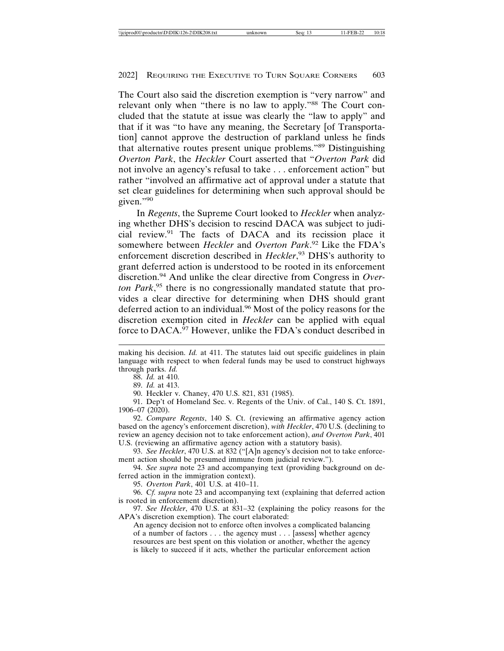The Court also said the discretion exemption is "very narrow" and relevant only when "there is no law to apply."<sup>88</sup> The Court concluded that the statute at issue was clearly the "law to apply" and that if it was "to have any meaning, the Secretary [of Transportation] cannot approve the destruction of parkland unless he finds that alternative routes present unique problems."89 Distinguishing *Overton Park*, the *Heckler* Court asserted that "*Overton Park* did not involve an agency's refusal to take . . . enforcement action" but rather "involved an affirmative act of approval under a statute that set clear guidelines for determining when such approval should be given."<sup>90</sup>

In *Regents*, the Supreme Court looked to *Heckler* when analyzing whether DHS's decision to rescind DACA was subject to judicial review.91 The facts of DACA and its recission place it somewhere between *Heckler* and *Overton Park*. 92 Like the FDA's enforcement discretion described in *Heckler*, 93 DHS's authority to grant deferred action is understood to be rooted in its enforcement discretion.94 And unlike the clear directive from Congress in *Overton Park*, 95 there is no congressionally mandated statute that provides a clear directive for determining when DHS should grant deferred action to an individual.<sup>96</sup> Most of the policy reasons for the discretion exemption cited in *Heckler* can be applied with equal force to DACA.<sup>97</sup> However, unlike the FDA's conduct described in

90. Heckler v. Chaney, 470 U.S. 821, 831 (1985).

91. Dep't of Homeland Sec. v. Regents of the Univ. of Cal., 140 S. Ct. 1891, 1906–07 (2020).

92. *Compare Regents*, 140 S. Ct. (reviewing an affirmative agency action based on the agency's enforcement discretion), *with Heckler*, 470 U.S. (declining to review an agency decision not to take enforcement action), *and Overton Park*, 401 U.S. (reviewing an affirmative agency action with a statutory basis).

93. *See Heckler*, 470 U.S. at 832 ("[A]n agency's decision not to take enforcement action should be presumed immune from judicial review.").

94. *See supra* note 23 and accompanying text (providing background on deferred action in the immigration context).

95. *Overton Park*, 401 U.S. at 410–11.

96. C*f. supra* note 23 and accompanying text (explaining that deferred action is rooted in enforcement discretion).

97. *See Heckler*, 470 U.S. at 831–32 (explaining the policy reasons for the APA's discretion exemption). The court elaborated:

An agency decision not to enforce often involves a complicated balancing of a number of factors . . . the agency must . . . [assess] whether agency resources are best spent on this violation or another, whether the agency is likely to succeed if it acts, whether the particular enforcement action

making his decision. *Id.* at 411. The statutes laid out specific guidelines in plain language with respect to when federal funds may be used to construct highways through parks. *Id.*

<sup>88.</sup> *Id.* at 410.

<sup>89.</sup> *Id.* at 413.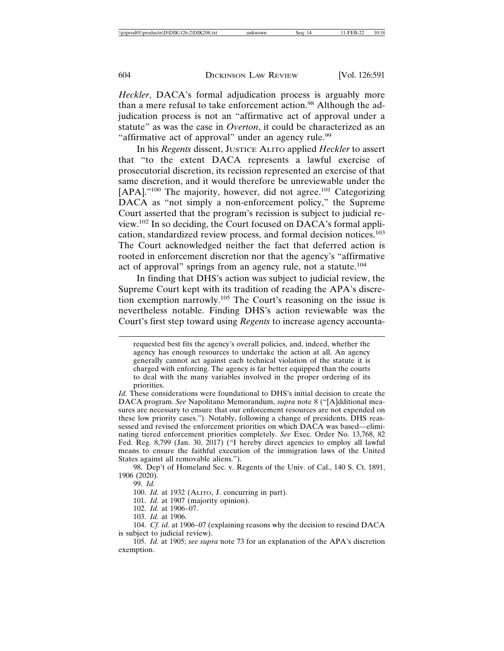*Heckler*, DACA's formal adjudication process is arguably more than a mere refusal to take enforcement action.<sup>98</sup> Although the adjudication process is not an "affirmative act of approval under a statute" as was the case in *Overton*, it could be characterized as an "affirmative act of approval" under an agency rule.<sup>99</sup>

In his *Regents* dissent, JUSTICE ALITO applied *Heckler* to assert that "to the extent DACA represents a lawful exercise of prosecutorial discretion, its recission represented an exercise of that same discretion, and it would therefore be unreviewable under the [APA]."<sup>100</sup> The majority, however, did not agree.<sup>101</sup> Categorizing DACA as "not simply a non-enforcement policy," the Supreme Court asserted that the program's recission is subject to judicial review.102 In so deciding, the Court focused on DACA's formal application, standardized review process, and formal decision notices.<sup>103</sup> The Court acknowledged neither the fact that deferred action is rooted in enforcement discretion nor that the agency's "affirmative act of approval" springs from an agency rule, not a statute.<sup>104</sup>

In finding that DHS's action was subject to judicial review, the Supreme Court kept with its tradition of reading the APA's discretion exemption narrowly.105 The Court's reasoning on the issue is nevertheless notable. Finding DHS's action reviewable was the Court's first step toward using *Regents* to increase agency accounta-

98. Dep't of Homeland Sec. v. Regents of the Univ. of Cal., 140 S. Ct. 1891, 1906 (2020).

99. *Id.*

100. *Id.* at 1932 (ALITO, J. concurring in part).

101. *Id.* at 1907 (majority opinion).

102. *Id.* at 1906–07.

103. *Id.* at 1906.

104. *Cf. id.* at 1906–07 (explaining reasons why the decision to rescind DACA is subject to judicial review).

105. *Id.* at 1905; *see supra* note 73 for an explanation of the APA's discretion exemption.

requested best fits the agency's overall policies, and, indeed, whether the agency has enough resources to undertake the action at all. An agency generally cannot act against each technical violation of the statute it is charged with enforcing. The agency is far better equipped than the courts to deal with the many variables involved in the proper ordering of its priorities.

*Id.* These considerations were foundational to DHS's initial decision to create the DACA program. *See* Napolitano Memorandum, *supra* note 8 ("[A]dditional measures are necessary to ensure that our enforcement resources are not expended on these low priority cases."). Notably, following a change of presidents, DHS reassessed and revised the enforcement priorities on which DACA was based—eliminating tiered enforcement priorities completely. *See* Exec. Order No. 13,768, 82 Fed. Reg. 8,799 (Jan. 30, 2017) ("I hereby direct agencies to employ all lawful means to ensure the faithful execution of the immigration laws of the United States against all removable aliens.").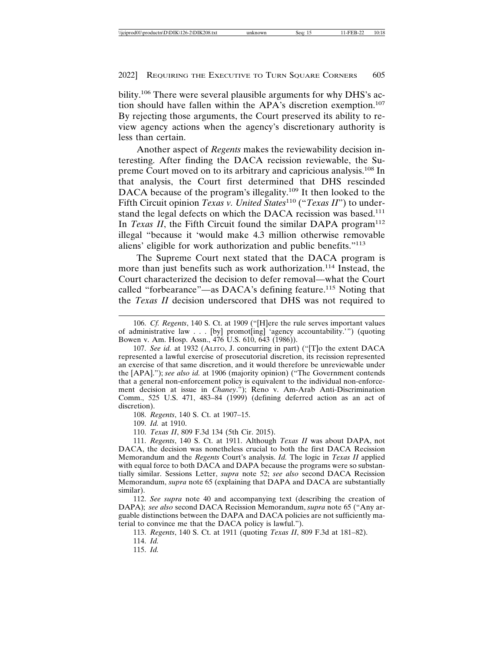bility.<sup>106</sup> There were several plausible arguments for why DHS's action should have fallen within the APA's discretion exemption.<sup>107</sup> By rejecting those arguments, the Court preserved its ability to review agency actions when the agency's discretionary authority is less than certain.

Another aspect of *Regents* makes the reviewability decision interesting. After finding the DACA recission reviewable, the Supreme Court moved on to its arbitrary and capricious analysis.108 In that analysis, the Court first determined that DHS rescinded DACA because of the program's illegality.<sup>109</sup> It then looked to the Fifth Circuit opinion *Texas v. United States*110 ("*Texas II*") to understand the legal defects on which the DACA recission was based.<sup>111</sup> In *Texas II*, the Fifth Circuit found the similar DAPA program<sup>112</sup> illegal "because it 'would make 4.3 million otherwise removable aliens' eligible for work authorization and public benefits."<sup>113</sup>

The Supreme Court next stated that the DACA program is more than just benefits such as work authorization.<sup>114</sup> Instead, the Court characterized the decision to defer removal—what the Court called "forbearance"—as DACA's defining feature.<sup>115</sup> Noting that the *Texas II* decision underscored that DHS was not required to

108. *Regents*, 140 S. Ct. at 1907–15.

109. *Id.* at 1910.

110. *Texas II*, 809 F.3d 134 (5th Cir. 2015).

111. *Regents*, 140 S. Ct. at 1911. Although *Texas II* was about DAPA, not DACA, the decision was nonetheless crucial to both the first DACA Recission Memorandum and the *Regents* Court's analysis. *Id.* The logic in *Texas II* applied with equal force to both DACA and DAPA because the programs were so substantially similar. Sessions Letter, *supra* note 52; *see also* second DACA Recission Memorandum, *supra* note 65 (explaining that DAPA and DACA are substantially similar).

112. *See supra* note 40 and accompanying text (describing the creation of DAPA); *see also* second DACA Recission Memorandum, *supra* note 65 ("Any arguable distinctions between the DAPA and DACA policies are not sufficiently material to convince me that the DACA policy is lawful.").

113. *Regents*, 140 S. Ct. at 1911 (quoting *Texas II*, 809 F.3d at 181–82).

114. *Id.*

115. *Id.*

<sup>106.</sup> *Cf. Regents*, 140 S. Ct. at 1909 ("[H]ere the rule serves important values of administrative law . . . [by] promot[ing] 'agency accountability.'") (quoting Bowen v. Am. Hosp. Assn., 476 U.S. 610, 643 (1986)).

<sup>107.</sup> *See id.* at 1932 (ALITO, J. concurring in part) ("[T]o the extent DACA represented a lawful exercise of prosecutorial discretion, its recission represented an exercise of that same discretion, and it would therefore be unreviewable under the [APA]."); *see also id.* at 1906 (majority opinion) ("The Government contends that a general non-enforcement policy is equivalent to the individual non-enforcement decision at issue in *Chaney*."); Reno v. Am-Arab Anti-Discrimination Comm., 525 U.S. 471, 483–84 (1999) (defining deferred action as an act of discretion).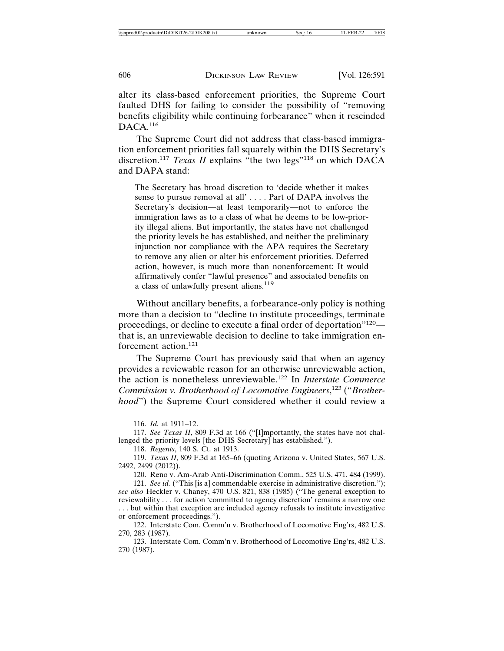alter its class-based enforcement priorities, the Supreme Court faulted DHS for failing to consider the possibility of "removing benefits eligibility while continuing forbearance" when it rescinded  $DACA.<sup>116</sup>$ 

The Supreme Court did not address that class-based immigration enforcement priorities fall squarely within the DHS Secretary's discretion.<sup>117</sup> *Texas II* explains "the two legs"<sup>118</sup> on which DACA and DAPA stand:

The Secretary has broad discretion to 'decide whether it makes sense to pursue removal at all' . . . . Part of DAPA involves the Secretary's decision—at least temporarily—not to enforce the immigration laws as to a class of what he deems to be low-priority illegal aliens. But importantly, the states have not challenged the priority levels he has established, and neither the preliminary injunction nor compliance with the APA requires the Secretary to remove any alien or alter his enforcement priorities. Deferred action, however, is much more than nonenforcement: It would affirmatively confer "lawful presence" and associated benefits on a class of unlawfully present aliens.<sup>119</sup>

Without ancillary benefits, a forbearance-only policy is nothing more than a decision to "decline to institute proceedings, terminate proceedings, or decline to execute a final order of deportation"120 that is, an unreviewable decision to decline to take immigration enforcement action.<sup>121</sup>

The Supreme Court has previously said that when an agency provides a reviewable reason for an otherwise unreviewable action, the action is nonetheless unreviewable.122 In *Interstate Commerce Commission v. Brotherhood of Locomotive Engineers*, 123 ("*Brotherhood*") the Supreme Court considered whether it could review a

<sup>116.</sup> *Id.* at 1911–12.

<sup>117.</sup> *See Texas II*, 809 F.3d at 166 ("[I]mportantly, the states have not challenged the priority levels [the DHS Secretary] has established.").

<sup>118.</sup> *Regents*, 140 S. Ct. at 1913.

<sup>119.</sup> *Texas II*, 809 F.3d at 165–66 (quoting Arizona v. United States, 567 U.S. 2492, 2499 (2012)).

<sup>120.</sup> Reno v. Am-Arab Anti-Discrimination Comm., 525 U.S. 471, 484 (1999).

<sup>121.</sup> *See id.* ("This [is a] commendable exercise in administrative discretion."); *see also* Heckler v. Chaney, 470 U.S. 821, 838 (1985) ("The general exception to reviewability . . . for action 'committed to agency discretion' remains a narrow one . . . but within that exception are included agency refusals to institute investigative or enforcement proceedings.").

<sup>122.</sup> Interstate Com. Comm'n v. Brotherhood of Locomotive Eng'rs, 482 U.S. 270, 283 (1987).

<sup>123.</sup> Interstate Com. Comm'n v. Brotherhood of Locomotive Eng'rs, 482 U.S. 270 (1987).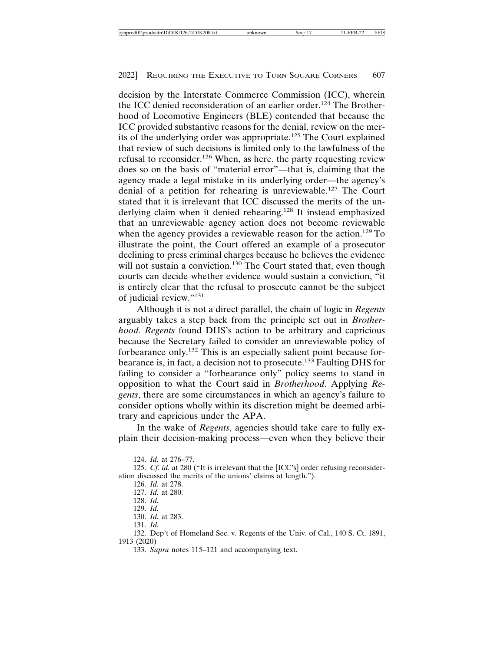decision by the Interstate Commerce Commission (ICC), wherein the ICC denied reconsideration of an earlier order.<sup>124</sup> The Brotherhood of Locomotive Engineers (BLE) contended that because the ICC provided substantive reasons for the denial, review on the merits of the underlying order was appropriate.125 The Court explained that review of such decisions is limited only to the lawfulness of the refusal to reconsider.126 When, as here, the party requesting review does so on the basis of "material error"—that is, claiming that the agency made a legal mistake in its underlying order—the agency's denial of a petition for rehearing is unreviewable.127 The Court stated that it is irrelevant that ICC discussed the merits of the underlying claim when it denied rehearing.128 It instead emphasized that an unreviewable agency action does not become reviewable when the agency provides a reviewable reason for the action.<sup>129</sup> To illustrate the point, the Court offered an example of a prosecutor declining to press criminal charges because he believes the evidence will not sustain a conviction.<sup>130</sup> The Court stated that, even though courts can decide whether evidence would sustain a conviction, "it is entirely clear that the refusal to prosecute cannot be the subject of judicial review."<sup>131</sup>

Although it is not a direct parallel, the chain of logic in *Regents* arguably takes a step back from the principle set out in *Brotherhood*. *Regents* found DHS's action to be arbitrary and capricious because the Secretary failed to consider an unreviewable policy of forbearance only.132 This is an especially salient point because forbearance is, in fact, a decision not to prosecute.133 Faulting DHS for failing to consider a "forbearance only" policy seems to stand in opposition to what the Court said in *Brotherhood*. Applying *Regents*, there are some circumstances in which an agency's failure to consider options wholly within its discretion might be deemed arbitrary and capricious under the APA.

In the wake of *Regents*, agencies should take care to fully explain their decision-making process—even when they believe their

131. *Id.*

133. *Supra* notes 115–121 and accompanying text.

<sup>124.</sup> *Id.* at 276–77.

<sup>125.</sup> *Cf. id.* at 280 ("It is irrelevant that the [ICC's] order refusing reconsideration discussed the merits of the unions' claims at length.").

<sup>126.</sup> *Id.* at 278.

<sup>127.</sup> *Id.* at 280.

<sup>128.</sup> *Id.* 129. *Id.*

<sup>130.</sup> *Id.* at 283.

<sup>132.</sup> Dep't of Homeland Sec. v. Regents of the Univ. of Cal., 140 S. Ct. 1891, 1913 (2020)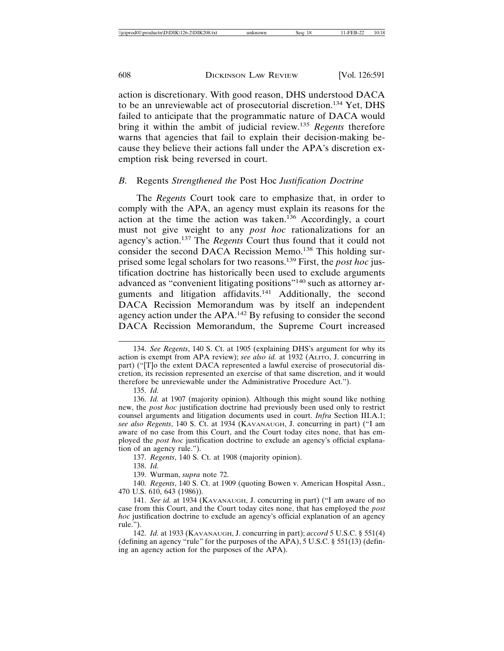action is discretionary. With good reason, DHS understood DACA to be an unreviewable act of prosecutorial discretion.134 Yet, DHS failed to anticipate that the programmatic nature of DACA would bring it within the ambit of judicial review.<sup>135</sup> *Regents* therefore warns that agencies that fail to explain their decision-making because they believe their actions fall under the APA's discretion exemption risk being reversed in court.

#### *B.* Regents *Strengthened the* Post Hoc *Justification Doctrine*

The *Regents* Court took care to emphasize that, in order to comply with the APA, an agency must explain its reasons for the action at the time the action was taken.<sup>136</sup> Accordingly, a court must not give weight to any *post hoc* rationalizations for an agency's action.137 The *Regents* Court thus found that it could not consider the second DACA Recission Memo.<sup>138</sup> This holding surprised some legal scholars for two reasons.139 First, the *post hoc* justification doctrine has historically been used to exclude arguments advanced as "convenient litigating positions"140 such as attorney arguments and litigation affidavits.141 Additionally, the second DACA Recission Memorandum was by itself an independent agency action under the APA.142 By refusing to consider the second DACA Recission Memorandum, the Supreme Court increased

135. *Id.*

136. *Id.* at 1907 (majority opinion). Although this might sound like nothing new, the *post hoc* justification doctrine had previously been used only to restrict counsel arguments and litigation documents used in court. *Infra* Section III.A.1; *see also Regents*, 140 S. Ct. at 1934 (KAVANAUGH, J. concurring in part) ("I am aware of no case from this Court, and the Court today cites none, that has employed the *post hoc* justification doctrine to exclude an agency's official explanation of an agency rule.").

137. *Regents*, 140 S. Ct. at 1908 (majority opinion).

138. *Id.*

139. Wurman, *supra* note 72.

140. *Regents*, 140 S. Ct. at 1909 (quoting Bowen v. American Hospital Assn., 470 U.S. 610, 643 (1986)).

141. *See id.* at 1934 (KAVANAUGH, J. concurring in part) ("I am aware of no case from this Court, and the Court today cites none, that has employed the *post hoc* justification doctrine to exclude an agency's official explanation of an agency rule.").

142. *Id.* at 1933 (KAVANAUGH, J. concurring in part); *accord* 5 U.S.C. § 551(4) (defining an agency "rule" for the purposes of the APA), 5 U.S.C. § 551(13) (defining an agency action for the purposes of the APA).

<sup>134.</sup> *See Regents*, 140 S. Ct. at 1905 (explaining DHS's argument for why its action is exempt from APA review); *see also id.* at 1932 (ALITO, J. concurring in part) ("[T]o the extent DACA represented a lawful exercise of prosecutorial discretion, its recission represented an exercise of that same discretion, and it would therefore be unreviewable under the Administrative Procedure Act.").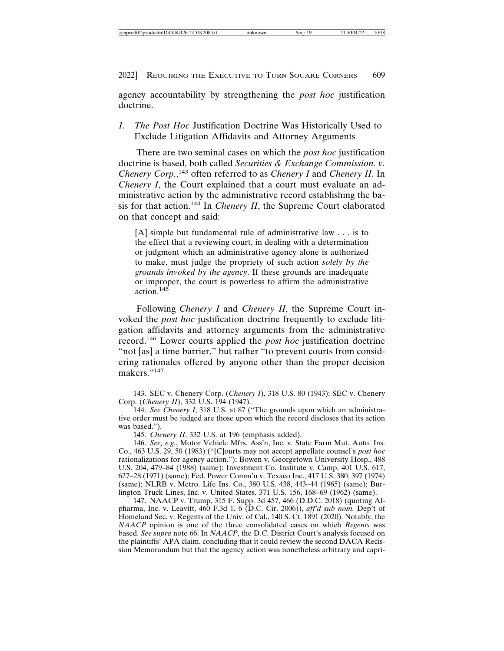agency accountability by strengthening the *post hoc* justification doctrine.

*1. The Post Hoc* Justification Doctrine Was Historically Used to Exclude Litigation Affidavits and Attorney Arguments

There are two seminal cases on which the *post hoc* justification doctrine is based, both called *Securities & Exchange Commission. v. Chenery Corp.*, 143 often referred to as *Chenery I* and *Chenery II*. In *Chenery I*, the Court explained that a court must evaluate an administrative action by the administrative record establishing the basis for that action.144 In *Chenery II*, the Supreme Court elaborated on that concept and said:

[A] simple but fundamental rule of administrative law . . . is to the effect that a reviewing court, in dealing with a determination or judgment which an administrative agency alone is authorized to make, must judge the propriety of such action *solely by the grounds invoked by the agency*. If these grounds are inadequate or improper, the court is powerless to affirm the administrative action.<sup>145</sup>

Following *Chenery I* and *Chenery II*, the Supreme Court invoked the *post hoc* justification doctrine frequently to exclude litigation affidavits and attorney arguments from the administrative record.146 Lower courts applied the *post hoc* justification doctrine "not [as] a time barrier," but rather "to prevent courts from considering rationales offered by anyone other than the proper decision makers."<sup>147</sup>

146. *See, e.g.*, Motor Vehicle Mfrs. Ass'n, Inc. v. State Farm Mut. Auto. Ins. Co., 463 U.S. 29, 50 (1983) ("[C]ourts may not accept appellate counsel's *post hoc* rationalizations for agency action."); Bowen v. Georgetown University Hosp., 488 U.S. 204, 479–84 (1988) (same); Investment Co. Institute v. Camp, 401 U.S. 617, 627–28 (1971) (same); Fed. Power Comm'n v. Texaco Inc., 417 U.S. 380, 397 (1974) (same); NLRB v. Metro. Life Ins. Co., 380 U.S. 438, 443–44 (1965) (same); Burlington Truck Lines, Inc. v. United States, 371 U.S. 156, 168–69 (1962) (same).

147. NAACP v. Trump, 315 F. Supp. 3d 457, 466 (D.D.C. 2018) (quoting Alpharma, Inc. v. Leavitt, 460 F.3d 1, 6 (D.C. Cir. 2006)), *aff'd sub nom.* Dep't of Homeland Sec. v. Regents of the Univ. of Cal., 140 S. Ct. 1891 (2020). Notably, the *NAACP* opinion is one of the three consolidated cases on which *Regents* was based. *See supra* note 66. In *NAACP*, the D.C. District Court's analysis focused on the plaintiffs' APA claim, concluding that it could review the second DACA Recission Memorandum but that the agency action was nonetheless arbitrary and capri-

<sup>143.</sup> SEC v. Chenery Corp. (*Chenery I*), 318 U.S. 80 (1943); SEC v. Chenery Corp. (*Chenery II*), 332 U.S. 194 (1947).

<sup>144.</sup> *See Chenery I*, 318 U.S. at 87 ("The grounds upon which an administrative order must be judged are those upon which the record discloses that its action was based.").

<sup>145.</sup> *Chenery II*, 332 U.S. at 196 (emphasis added).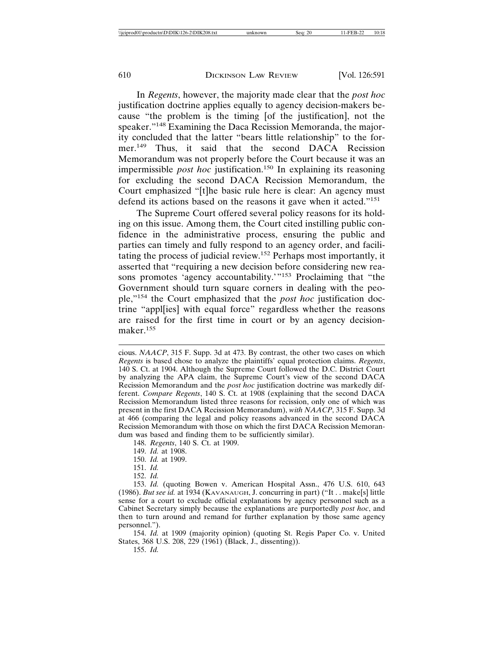In *Regents*, however, the majority made clear that the *post hoc* justification doctrine applies equally to agency decision-makers because "the problem is the timing [of the justification], not the speaker."<sup>148</sup> Examining the Daca Recission Memoranda, the majority concluded that the latter "bears little relationship" to the former.<sup>149</sup> Thus, it said that the second DACA Recission Memorandum was not properly before the Court because it was an impermissible *post hoc* justification.<sup>150</sup> In explaining its reasoning for excluding the second DACA Recission Memorandum, the Court emphasized "[t]he basic rule here is clear: An agency must defend its actions based on the reasons it gave when it acted."<sup>151</sup>

The Supreme Court offered several policy reasons for its holding on this issue. Among them, the Court cited instilling public confidence in the administrative process, ensuring the public and parties can timely and fully respond to an agency order, and facilitating the process of judicial review.152 Perhaps most importantly, it asserted that "requiring a new decision before considering new reasons promotes 'agency accountability.'"<sup>153</sup> Proclaiming that "the Government should turn square corners in dealing with the people,"154 the Court emphasized that the *post hoc* justification doctrine "appl[ies] with equal force" regardless whether the reasons are raised for the first time in court or by an agency decisionmaker.155

cious. *NAACP*, 315 F. Supp. 3d at 473. By contrast, the other two cases on which *Regents* is based chose to analyze the plaintiffs' equal protection claims. *Regents*, 140 S. Ct. at 1904. Although the Supreme Court followed the D.C. District Court by analyzing the APA claim, the Supreme Court's view of the second DACA Recission Memorandum and the *post hoc* justification doctrine was markedly different. *Compare Regents*, 140 S. Ct. at 1908 (explaining that the second DACA Recission Memorandum listed three reasons for recission, only one of which was present in the first DACA Recission Memorandum), *with NAACP*, 315 F. Supp. 3d at 466 (comparing the legal and policy reasons advanced in the second DACA Recission Memorandum with those on which the first DACA Recission Memorandum was based and finding them to be sufficiently similar).

148. *Regents*, 140 S. Ct. at 1909.

151. *Id.*

152. *Id.*

153. *Id.* (quoting Bowen v. American Hospital Assn., 476 U.S. 610, 643 (1986). *But see id.* at 1934 (KAVANAUGH, J. concurring in part) ("It . . make[s] little sense for a court to exclude official explanations by agency personnel such as a Cabinet Secretary simply because the explanations are purportedly *post hoc*, and then to turn around and remand for further explanation by those same agency personnel.").

154. *Id.* at 1909 (majority opinion) (quoting St. Regis Paper Co. v. United States, 368 U.S. 208, 229 (1961) (Black, J., dissenting)).

155. *Id.*

<sup>149.</sup> *Id.* at 1908.

<sup>150.</sup> *Id.* at 1909.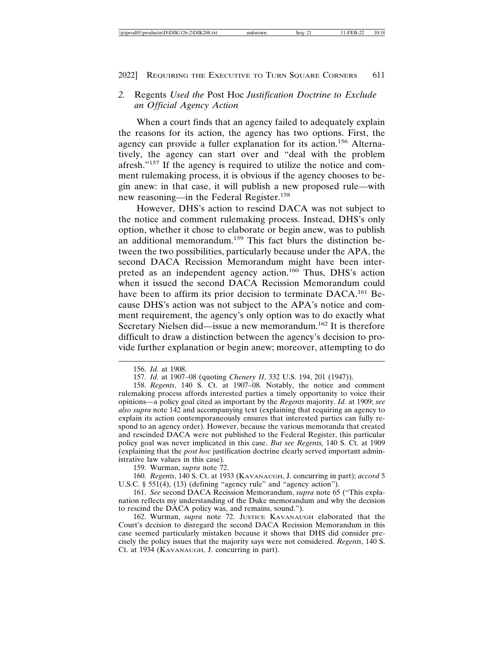# *2.* Regents *Used the* Post Hoc *Justification Doctrine to Exclude an Official Agency Action*

When a court finds that an agency failed to adequately explain the reasons for its action, the agency has two options. First, the agency can provide a fuller explanation for its action.156 Alternatively, the agency can start over and "deal with the problem afresh."157 If the agency is required to utilize the notice and comment rulemaking process, it is obvious if the agency chooses to begin anew: in that case, it will publish a new proposed rule—with new reasoning—in the Federal Register.<sup>158</sup>

However, DHS's action to rescind DACA was not subject to the notice and comment rulemaking process. Instead, DHS's only option, whether it chose to elaborate or begin anew, was to publish an additional memorandum.159 This fact blurs the distinction between the two possibilities, particularly because under the APA, the second DACA Recission Memorandum might have been interpreted as an independent agency action.<sup>160</sup> Thus, DHS's action when it issued the second DACA Recission Memorandum could have been to affirm its prior decision to terminate DACA.<sup>161</sup> Because DHS's action was not subject to the APA's notice and comment requirement, the agency's only option was to do exactly what Secretary Nielsen did—issue a new memorandum.<sup>162</sup> It is therefore difficult to draw a distinction between the agency's decision to provide further explanation or begin anew; moreover, attempting to do

<sup>156.</sup> *Id.* at 1908.

<sup>157.</sup> *Id.* at 1907–08 (quoting *Chenery II*, 332 U.S. 194, 201 (1947)).

<sup>158.</sup> *Regents*, 140 S. Ct. at 1907–08*.* Notably, the notice and comment rulemaking process affords interested parties a timely opportunity to voice their opinions—a policy goal cited as important by the *Regents* majority. *Id.* at 1909; *see also supra* note 142 and accompanying text (explaining that requiring an agency to explain its action contemporaneously ensures that interested parties can fully respond to an agency order). However, because the various memoranda that created and rescinded DACA were not published to the Federal Register, this particular policy goal was never implicated in this case. *But see Regents,* 140 S. Ct. at 1909 (explaining that the *post hoc* justification doctrine clearly served important administrative law values in this case).

<sup>159.</sup> Wurman, *supra* note 72.

<sup>160.</sup> *Regents*, 140 S. Ct. at 1933 (KAVANAUGH, J. concurring in part); *accord* 5 U.S.C. § 551(4), (13) (defining "agency rule" and "agency action").

<sup>161.</sup> *See* second DACA Recission Memorandum, *supra* note 65 ("This explanation reflects my understanding of the Duke memorandum and why the decision to rescind the DACA policy was, and remains, sound.").

<sup>162.</sup> Wurman, *supra* note 72. JUSTICE KAVANAUGH elaborated that the Court's decision to disregard the second DACA Recission Memorandum in this case seemed particularly mistaken because it shows that DHS did consider precisely the policy issues that the majority says were not considered. *Regents*, 140 S. Ct. at 1934 (KAVANAUGH, J. concurring in part).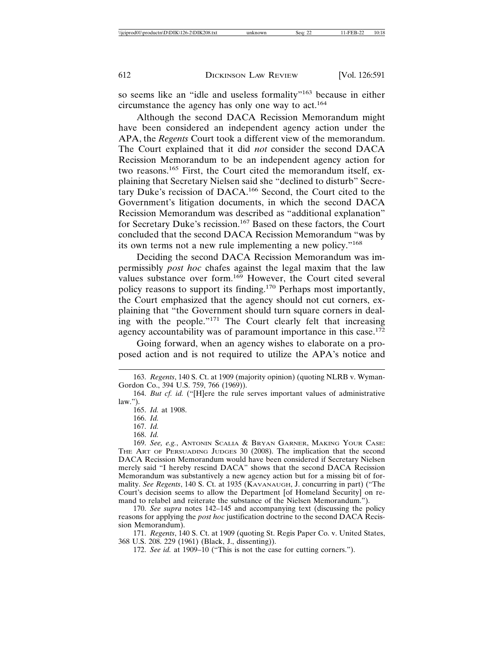so seems like an "idle and useless formality"<sup>163</sup> because in either circumstance the agency has only one way to act.<sup>164</sup>

Although the second DACA Recission Memorandum might have been considered an independent agency action under the APA, the *Regents* Court took a different view of the memorandum. The Court explained that it did *not* consider the second DACA Recission Memorandum to be an independent agency action for two reasons.165 First, the Court cited the memorandum itself, explaining that Secretary Nielsen said she "declined to disturb" Secretary Duke's recission of DACA.166 Second, the Court cited to the Government's litigation documents, in which the second DACA Recission Memorandum was described as "additional explanation" for Secretary Duke's recission.167 Based on these factors, the Court concluded that the second DACA Recission Memorandum "was by its own terms not a new rule implementing a new policy."<sup>168</sup>

Deciding the second DACA Recission Memorandum was impermissibly *post hoc* chafes against the legal maxim that the law values substance over form.<sup>169</sup> However, the Court cited several policy reasons to support its finding.170 Perhaps most importantly, the Court emphasized that the agency should not cut corners, explaining that "the Government should turn square corners in dealing with the people."171 The Court clearly felt that increasing agency accountability was of paramount importance in this case.<sup>172</sup>

Going forward, when an agency wishes to elaborate on a proposed action and is not required to utilize the APA's notice and

166. *Id.*

167. *Id.*

170. *See supra* notes 142–145 and accompanying text (discussing the policy reasons for applying the *post hoc* justification doctrine to the second DACA Recission Memorandum).

171. *Regents*, 140 S. Ct. at 1909 (quoting St. Regis Paper Co. v. United States, 368 U.S. 208. 229 (1961) (Black, J., dissenting)).

172. *See id.* at 1909–10 ("This is not the case for cutting corners.").

<sup>163.</sup> *Regents*, 140 S. Ct. at 1909 (majority opinion) (quoting NLRB v. Wyman-Gordon Co., 394 U.S. 759, 766 (1969)).

<sup>164.</sup> *But cf. id.* ("[H]ere the rule serves important values of administrative  $law.'$ ).

<sup>165.</sup> *Id.* at 1908.

<sup>168.</sup> *Id.*

<sup>169.</sup> *See, e.g.*, ANTONIN SCALIA & BRYAN GARNER, MAKING YOUR CASE: THE ART OF PERSUADING JUDGES 30 (2008). The implication that the second DACA Recission Memorandum would have been considered if Secretary Nielsen merely said "I hereby rescind DACA" shows that the second DACA Recission Memorandum was substantively a new agency action but for a missing bit of formality. *See Regents*, 140 S. Ct. at 1935 (KAVANAUGH, J. concurring in part) ("The Court's decision seems to allow the Department [of Homeland Security] on remand to relabel and reiterate the substance of the Nielsen Memorandum.").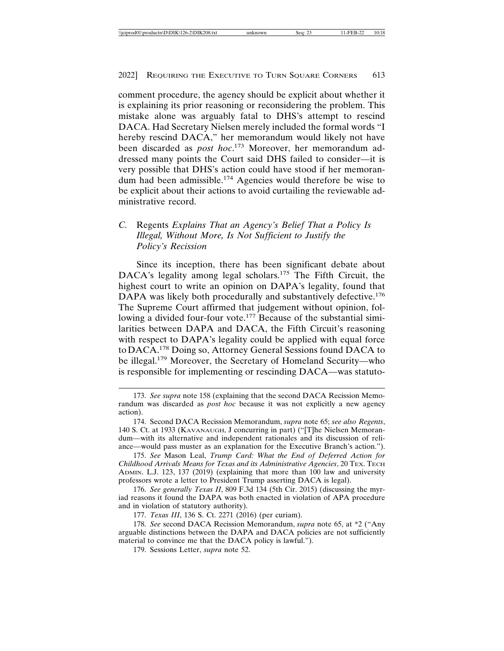comment procedure, the agency should be explicit about whether it is explaining its prior reasoning or reconsidering the problem. This mistake alone was arguably fatal to DHS's attempt to rescind DACA. Had Secretary Nielsen merely included the formal words "I hereby rescind DACA," her memorandum would likely not have been discarded as *post hoc*. 173 Moreover, her memorandum addressed many points the Court said DHS failed to consider—it is very possible that DHS's action could have stood if her memorandum had been admissible.174 Agencies would therefore be wise to be explicit about their actions to avoid curtailing the reviewable administrative record.

# *C.* Regents *Explains That an Agency's Belief That a Policy Is Illegal, Without More, Is Not Sufficient to Justify the Policy's Recission*

Since its inception, there has been significant debate about DACA's legality among legal scholars.<sup>175</sup> The Fifth Circuit, the highest court to write an opinion on DAPA's legality, found that DAPA was likely both procedurally and substantively defective.<sup>176</sup> The Supreme Court affirmed that judgement without opinion, following a divided four-four vote.<sup>177</sup> Because of the substantial similarities between DAPA and DACA, the Fifth Circuit's reasoning with respect to DAPA's legality could be applied with equal force to DACA.178 Doing so, Attorney General Sessions found DACA to be illegal.179 Moreover, the Secretary of Homeland Security—who is responsible for implementing or rescinding DACA—was statuto-

<sup>173.</sup> *See supra* note 158 (explaining that the second DACA Recission Memorandum was discarded as *post hoc* because it was not explicitly a new agency action).

<sup>174.</sup> Second DACA Recission Memorandum, *supra* note 65; *see also Regents*, 140 S. Ct. at 1933 (KAVANAUGH, J concurring in part) ("[T]he Nielsen Memorandum—with its alternative and independent rationales and its discussion of reliance—would pass muster as an explanation for the Executive Branch's action.").

<sup>175.</sup> *See* Mason Leal, *Trump Card: What the End of Deferred Action for Childhood Arrivals Means for Texas and its Administrative Agencies*, 20 TEX. TECH ADMIN. L.J. 123, 137 (2019) (explaining that more than 100 law and university professors wrote a letter to President Trump asserting DACA is legal).

<sup>176.</sup> *See generally Texas II*, 809 F.3d 134 (5th Cir. 2015) (discussing the myriad reasons it found the DAPA was both enacted in violation of APA procedure and in violation of statutory authority).

<sup>177.</sup> *Texas III*, 136 S. Ct. 2271 (2016) (per curiam).

<sup>178.</sup> *See* second DACA Recission Memorandum, *supra* note 65, at \*2 ("Any arguable distinctions between the DAPA and DACA policies are not sufficiently material to convince me that the DACA policy is lawful.").

<sup>179.</sup> Sessions Letter, *supra* note 52.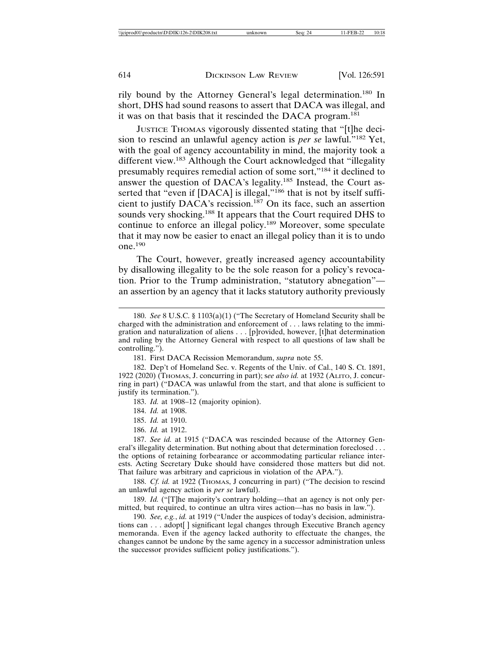rily bound by the Attorney General's legal determination.180 In short, DHS had sound reasons to assert that DACA was illegal, and it was on that basis that it rescinded the DACA program.<sup>181</sup>

JUSTICE THOMAS vigorously dissented stating that "[t]he decision to rescind an unlawful agency action is *per se* lawful."182 Yet, with the goal of agency accountability in mind, the majority took a different view.<sup>183</sup> Although the Court acknowledged that "illegality" presumably requires remedial action of some sort,"184 it declined to answer the question of DACA's legality.185 Instead, the Court asserted that "even if [DACA] is illegal,"<sup>186</sup> that is not by itself sufficient to justify DACA's recission.<sup>187</sup> On its face, such an assertion sounds very shocking.<sup>188</sup> It appears that the Court required DHS to continue to enforce an illegal policy.<sup>189</sup> Moreover, some speculate that it may now be easier to enact an illegal policy than it is to undo one.190

The Court, however, greatly increased agency accountability by disallowing illegality to be the sole reason for a policy's revocation. Prior to the Trump administration, "statutory abnegation" an assertion by an agency that it lacks statutory authority previously

183. *Id.* at 1908–12 (majority opinion).

184. *Id.* at 1908.

185. *Id.* at 1910.

186. *Id.* at 1912.

187. *See id.* at 1915 ("DACA was rescinded because of the Attorney General's illegality determination. But nothing about that determination foreclosed . . . the options of retaining forbearance or accommodating particular reliance interests. Acting Secretary Duke should have considered those matters but did not. That failure was arbitrary and capricious in violation of the APA.").

188. *Cf. id.* at 1922 (THOMAS, J concurring in part) ("The decision to rescind an unlawful agency action is *per se* lawful).

189. *Id.* ("[T]he majority's contrary holding—that an agency is not only permitted, but required, to continue an ultra vires action—has no basis in law.").

190. *See, e.g.*, *id.* at 1919 ("Under the auspices of today's decision, administrations can . . . adopt[ ] significant legal changes through Executive Branch agency memoranda. Even if the agency lacked authority to effectuate the changes, the changes cannot be undone by the same agency in a successor administration unless the successor provides sufficient policy justifications.").

<sup>180.</sup> *See* 8 U.S.C. § 1103(a)(1) ("The Secretary of Homeland Security shall be charged with the administration and enforcement of . . . laws relating to the immigration and naturalization of aliens . . . [p]rovided, however, [t]hat determination and ruling by the Attorney General with respect to all questions of law shall be controlling.").

<sup>181.</sup> First DACA Recission Memorandum, *supra* note 55.

<sup>182.</sup> Dep't of Homeland Sec. v. Regents of the Univ. of Cal., 140 S. Ct. 1891, 1922 (2020) (THOMAS, J. concurring in part); s*ee also id.* at 1932 (ALITO, J. concurring in part) ("DACA was unlawful from the start, and that alone is sufficient to justify its termination.").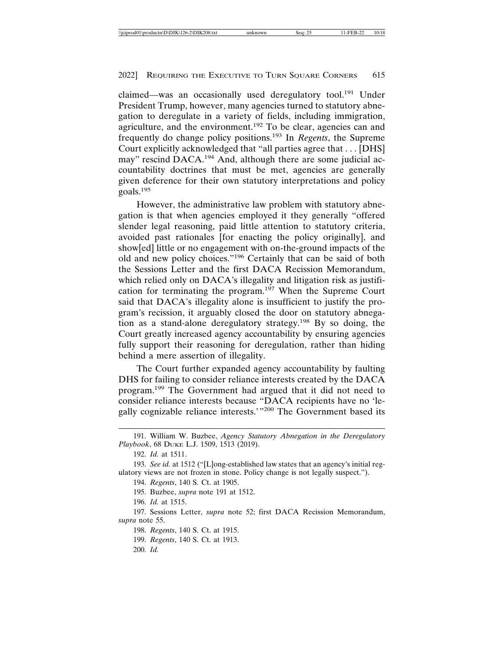claimed—was an occasionally used deregulatory tool.<sup>191</sup> Under President Trump, however, many agencies turned to statutory abnegation to deregulate in a variety of fields, including immigration, agriculture, and the environment.<sup>192</sup> To be clear, agencies can and frequently do change policy positions.193 In *Regents*, the Supreme Court explicitly acknowledged that "all parties agree that . . . [DHS] may" rescind DACA.<sup>194</sup> And, although there are some judicial accountability doctrines that must be met, agencies are generally given deference for their own statutory interpretations and policy goals.<sup>195</sup>

However, the administrative law problem with statutory abnegation is that when agencies employed it they generally "offered slender legal reasoning, paid little attention to statutory criteria, avoided past rationales [for enacting the policy originally], and show[ed] little or no engagement with on-the-ground impacts of the old and new policy choices."196 Certainly that can be said of both the Sessions Letter and the first DACA Recission Memorandum, which relied only on DACA's illegality and litigation risk as justification for terminating the program.<sup>197</sup> When the Supreme Court said that DACA's illegality alone is insufficient to justify the program's recission, it arguably closed the door on statutory abnegation as a stand-alone deregulatory strategy.198 By so doing, the Court greatly increased agency accountability by ensuring agencies fully support their reasoning for deregulation, rather than hiding behind a mere assertion of illegality.

The Court further expanded agency accountability by faulting DHS for failing to consider reliance interests created by the DACA program.199 The Government had argued that it did not need to consider reliance interests because "DACA recipients have no 'legally cognizable reliance interests.'"200 The Government based its

196. *Id.* at 1515.

197. Sessions Letter, *supra* note 52; first DACA Recission Memorandum, *supra* note 55.

198. *Regents*, 140 S. Ct. at 1915.

199. *Regents*, 140 S. Ct. at 1913.

200. *Id.*

<sup>191.</sup> William W. Buzbee, *Agency Statutory Abnegation in the Deregulatory Playbook*, 68 DUKE L.J. 1509, 1513 (2019).

<sup>192.</sup> *Id.* at 1511.

<sup>193.</sup> *See id.* at 1512 ("[L]ong-established law states that an agency's initial regulatory views are not frozen in stone. Policy change is not legally suspect.").

<sup>194.</sup> *Regents*, 140 S. Ct. at 1905.

<sup>195.</sup> Buzbee, *supra* note 191 at 1512.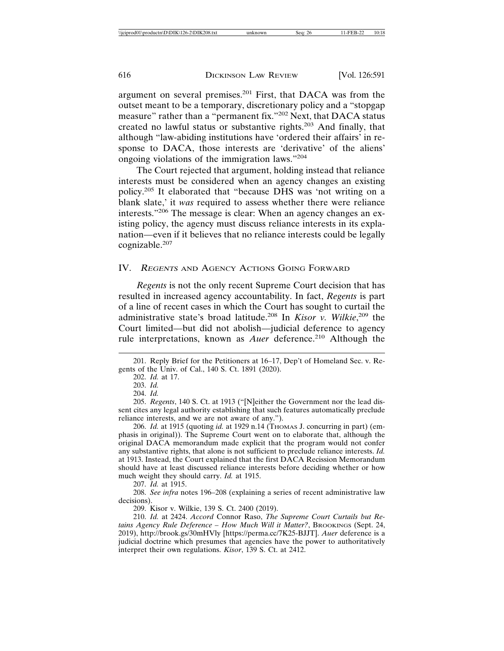argument on several premises.201 First, that DACA was from the outset meant to be a temporary, discretionary policy and a "stopgap measure" rather than a "permanent fix."<sup>202</sup> Next, that DACA status created no lawful status or substantive rights.203 And finally, that although "law-abiding institutions have 'ordered their affairs' in response to DACA, those interests are 'derivative' of the aliens' ongoing violations of the immigration laws."<sup>204</sup>

The Court rejected that argument, holding instead that reliance interests must be considered when an agency changes an existing policy.205 It elaborated that "because DHS was 'not writing on a blank slate,' it *was* required to assess whether there were reliance interests."206 The message is clear: When an agency changes an existing policy, the agency must discuss reliance interests in its explanation—even if it believes that no reliance interests could be legally cognizable.207

## IV. <sup>R</sup>EGENTS AND AGENCY ACTIONS GOING FORWARD

*Regents* is not the only recent Supreme Court decision that has resulted in increased agency accountability. In fact, *Regents* is part of a line of recent cases in which the Court has sought to curtail the administrative state's broad latitude.208 In *Kisor v. Wilkie*, 209 the Court limited—but did not abolish—judicial deference to agency rule interpretations, known as *Auer* deference.<sup>210</sup> Although the

207. *Id.* at 1915.

208. *See infra* notes 196–208 (explaining a series of recent administrative law decisions).

209. Kisor v. Wilkie, 139 S. Ct. 2400 (2019).

210. *Id.* at 2424. *Accord* Connor Raso, *The Supreme Court Curtails but Retains Agency Rule Deference – How Much Will it Matter?*, BROOKINGS (Sept. 24, 2019), http://brook.gs/30mHVly [https://perma.cc/7K25-BJJT]. *Auer* deference is a judicial doctrine which presumes that agencies have the power to authoritatively interpret their own regulations. *Kisor*, 139 S. Ct. at 2412.

<sup>201.</sup> Reply Brief for the Petitioners at 16–17, Dep't of Homeland Sec. v. Regents of the Univ. of Cal., 140 S. Ct. 1891 (2020).

<sup>202.</sup> *Id.* at 17.

<sup>203.</sup> *Id.*

<sup>204.</sup> *Id.*

<sup>205.</sup> *Regents*, 140 S. Ct. at 1913 ("[N]either the Government nor the lead dissent cites any legal authority establishing that such features automatically preclude reliance interests, and we are not aware of any.").

<sup>206.</sup> *Id.* at 1915 (quoting *id.* at 1929 n.14 (Тнома J. concurring in part) (emphasis in original)). The Supreme Court went on to elaborate that, although the original DACA memorandum made explicit that the program would not confer any substantive rights, that alone is not sufficient to preclude reliance interests. *Id.* at 1913. Instead, the Court explained that the first DACA Recission Memorandum should have at least discussed reliance interests before deciding whether or how much weight they should carry. *Id.* at 1915.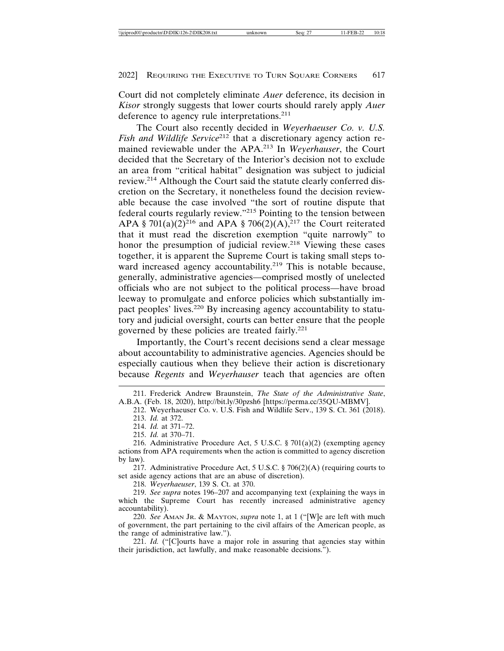Court did not completely eliminate *Auer* deference, its decision in *Kisor* strongly suggests that lower courts should rarely apply *Auer* deference to agency rule interpretations.<sup>211</sup>

The Court also recently decided in *Weyerhaeuser Co. v. U.S. Fish and Wildlife Service*<sup>212</sup> that a discretionary agency action remained reviewable under the APA.213 In *Weyerhauser*, the Court decided that the Secretary of the Interior's decision not to exclude an area from "critical habitat" designation was subject to judicial review.214 Although the Court said the statute clearly conferred discretion on the Secretary, it nonetheless found the decision reviewable because the case involved "the sort of routine dispute that federal courts regularly review."215 Pointing to the tension between APA § 701(a)(2)<sup>216</sup> and APA § 706(2)(A),<sup>217</sup> the Court reiterated that it must read the discretion exemption "quite narrowly" to honor the presumption of judicial review.<sup>218</sup> Viewing these cases together, it is apparent the Supreme Court is taking small steps toward increased agency accountability.<sup>219</sup> This is notable because, generally, administrative agencies—comprised mostly of unelected officials who are not subject to the political process—have broad leeway to promulgate and enforce policies which substantially impact peoples' lives.220 By increasing agency accountability to statutory and judicial oversight, courts can better ensure that the people governed by these policies are treated fairly.<sup>221</sup>

Importantly, the Court's recent decisions send a clear message about accountability to administrative agencies. Agencies should be especially cautious when they believe their action is discretionary because *Regents* and *Weyerhauser* teach that agencies are often

218. *Weyerhaeuser*, 139 S. Ct. at 370.

219. *See supra* notes 196–207 and accompanying text (explaining the ways in which the Supreme Court has recently increased administrative agency accountability).

220. *See* AMAN JR. & MAYTON, *supra* note 1, at 1 ("[W]e are left with much of government, the part pertaining to the civil affairs of the American people, as the range of administrative law.").

221. *Id.* ("[C]ourts have a major role in assuring that agencies stay within their jurisdiction, act lawfully, and make reasonable decisions.").

<sup>211.</sup> Frederick Andrew Braunstein, *The State of the Administrative State*, A.B.A. (Feb. 18, 2020), http://bit.ly/30pzsh6 [https://perma.cc/35QU-MBMV].

<sup>212.</sup> Weyerhaeuser Co. v. U.S. Fish and Wildlife Serv., 139 S. Ct. 361 (2018). 213. *Id.* at 372.

<sup>214.</sup> *Id.* at 371–72.

<sup>215.</sup> *Id.* at 370–71.

<sup>216.</sup> Administrative Procedure Act, 5 U.S.C. § 701(a)(2) (exempting agency actions from APA requirements when the action is committed to agency discretion by law).

<sup>217.</sup> Administrative Procedure Act, 5 U.S.C. § 706(2)(A) (requiring courts to set aside agency actions that are an abuse of discretion).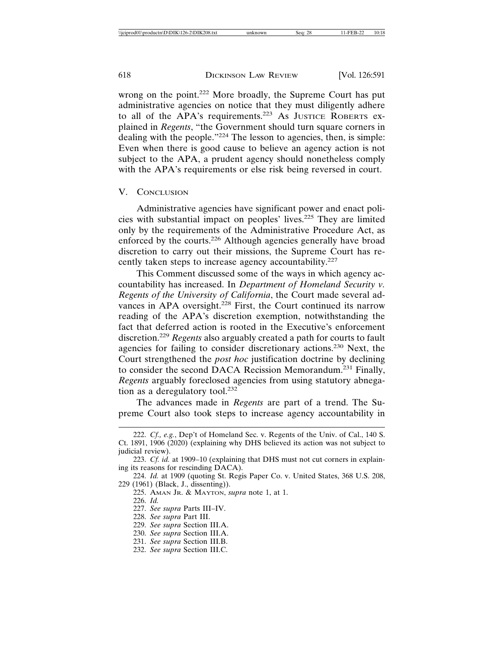wrong on the point.222 More broadly, the Supreme Court has put administrative agencies on notice that they must diligently adhere to all of the APA's requirements.<sup>223</sup> As JUSTICE ROBERTS explained in *Regents*, "the Government should turn square corners in dealing with the people."<sup>224</sup> The lesson to agencies, then, is simple: Even when there is good cause to believe an agency action is not subject to the APA, a prudent agency should nonetheless comply with the APA's requirements or else risk being reversed in court.

### V. CONCLUSION

Administrative agencies have significant power and enact policies with substantial impact on peoples' lives.225 They are limited only by the requirements of the Administrative Procedure Act, as enforced by the courts.<sup>226</sup> Although agencies generally have broad discretion to carry out their missions, the Supreme Court has recently taken steps to increase agency accountability.<sup>227</sup>

This Comment discussed some of the ways in which agency accountability has increased. In *Department of Homeland Security v. Regents of the University of California*, the Court made several advances in APA oversight.<sup>228</sup> First, the Court continued its narrow reading of the APA's discretion exemption, notwithstanding the fact that deferred action is rooted in the Executive's enforcement discretion.<sup>229</sup> *Regents* also arguably created a path for courts to fault agencies for failing to consider discretionary actions.230 Next, the Court strengthened the *post hoc* justification doctrine by declining to consider the second DACA Recission Memorandum.<sup>231</sup> Finally, *Regents* arguably foreclosed agencies from using statutory abnegation as a deregulatory tool. $232$ 

The advances made in *Regents* are part of a trend. The Supreme Court also took steps to increase agency accountability in

228. *See supra* Part III.

<sup>222.</sup> *Cf., e.g.*, Dep't of Homeland Sec. v. Regents of the Univ. of Cal., 140 S. Ct. 1891, 1906 (2020) (explaining why DHS believed its action was not subject to judicial review).

<sup>223.</sup> *Cf. id.* at 1909–10 (explaining that DHS must not cut corners in explaining its reasons for rescinding DACA).

<sup>224.</sup> *Id.* at 1909 (quoting St. Regis Paper Co. v. United States, 368 U.S. 208, 229 (1961) (Black, J., dissenting)).

<sup>225.</sup> AMAN JR. & MAYTON, *supra* note 1, at 1.

<sup>226.</sup> *Id.*

<sup>227.</sup> *See supra* Parts III–IV.

<sup>229.</sup> *See supra* Section III.A.

<sup>230.</sup> *See supra* Section III.A.

<sup>231.</sup> *See supra* Section III.B.

<sup>232.</sup> *See supra* Section III.C.